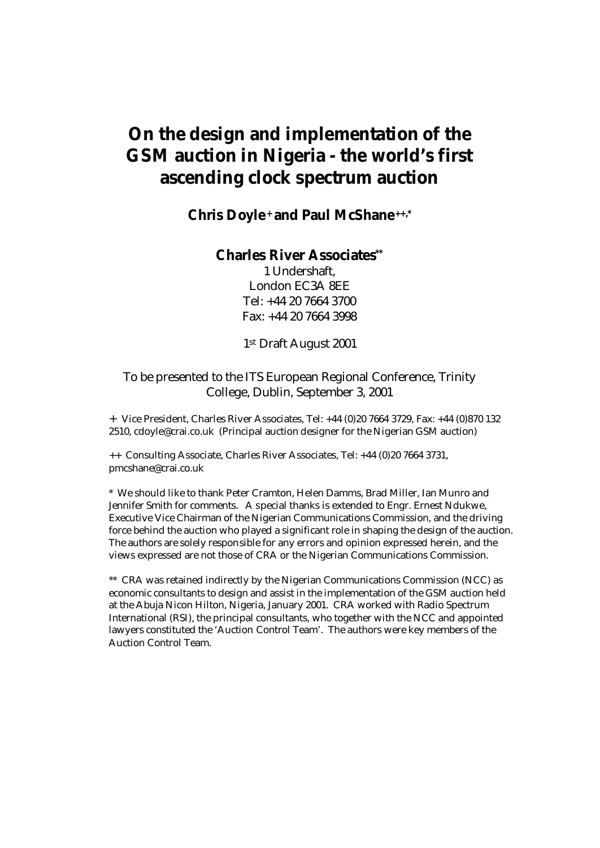# **On the design and implementation of the GSM auction in Nigeria - the world's first ascending clock spectrum auction**

### **Chris Doyle+ and Paul McShane++,\***

#### **Charles River Associates\*\***

1 Undershaft, London EC3A 8EE Tel: +44 20 7664 3700 Fax: +44 20 7664 3998

1st Draft August 2001

#### To be presented to the ITS European Regional Conference, Trinity College, Dublin, September 3, 2001

+ Vice President, Charles River Associates, Tel: +44 (0)20 7664 3729, Fax: +44 (0)870 132 2510, cdoyle@crai.co.uk (Principal auction designer for the Nigerian GSM auction)

++ Consulting Associate, Charles River Associates, Tel: +44 (0)20 7664 3731, pmcshane@crai.co.uk

\* We should like to thank Peter Cramton, Helen Damms, Brad Miller, Ian Munro and Jennifer Smith for comments. A special thanks is extended to Engr. Ernest Ndukwe, Executive Vice Chairman of the Nigerian Communications Commission, and the driving force behind the auction who played a significant role in shaping the design of the auction. The authors are solely responsible for any errors and opinion expressed herein, and the views expressed are not those of CRA or the Nigerian Communications Commission.

\*\* CRA was retained indirectly by the Nigerian Communications Commission (NCC) as economic consultants to design and assist in the implementation of the GSM auction held at the Abuja Nicon Hilton, Nigeria, January 2001. CRA worked with Radio Spectrum International (RSI), the principal consultants, who together with the NCC and appointed lawyers constituted the 'Auction Control Team'. The authors were key members of the Auction Control Team.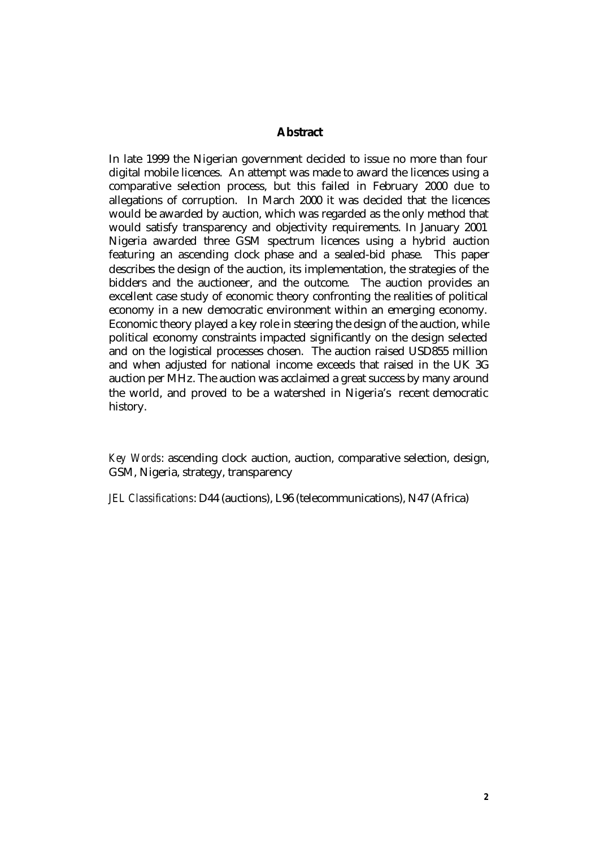#### **Abstract**

In late 1999 the Nigerian government decided to issue no more than four digital mobile licences. An attempt was made to award the licences using a comparative selection process, but this failed in February 2000 due to allegations of corruption. In March 2000 it was decided that the licences would be awarded by auction, which was regarded as the only method that would satisfy transparency and objectivity requirements. In January 2001 Nigeria awarded three GSM spectrum licences using a hybrid auction featuring an ascending clock phase and a sealed-bid phase. This paper describes the design of the auction, its implementation, the strategies of the bidders and the auctioneer, and the outcome. The auction provides an excellent case study of economic theory confronting the realities of political economy in a new democratic environment within an emerging economy. Economic theory played a key role in steering the design of the auction, while political economy constraints impacted significantly on the design selected and on the logistical processes chosen. The auction raised USD855 million and when adjusted for national income exceeds that raised in the UK 3G auction per MHz. The auction was acclaimed a great success by many around the world, and proved to be a watershed in Nigeria's recent democratic history.

*Key Words*: ascending clock auction, auction, comparative selection, design, GSM, Nigeria, strategy, transparency

*JEL Classifications*: D44 (auctions), L96 (telecommunications), N47 (Africa)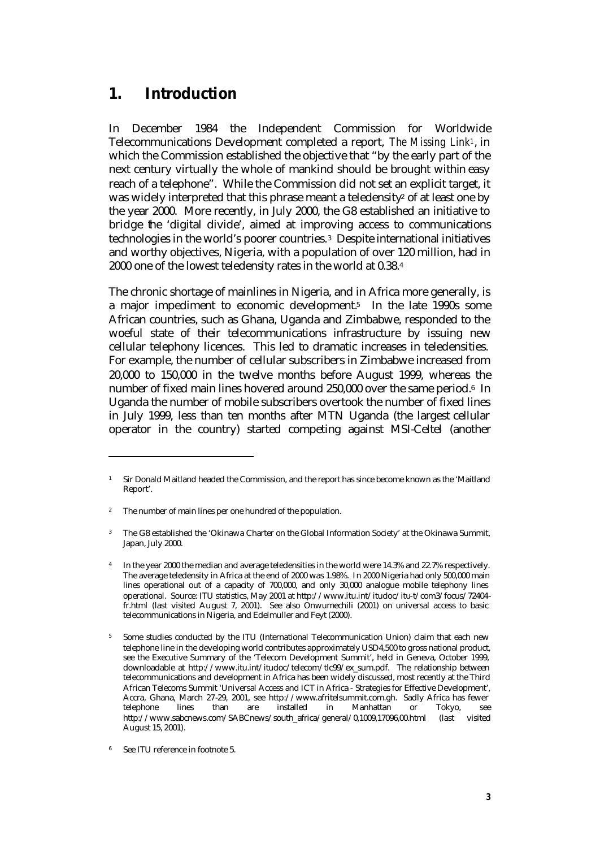## **1. Introduction**

In December 1984 the Independent Commission for Worldwide Telecommunications Development completed a report, *The Missing Link1*, in which the Commission established the objective that "by the early part of the next century virtually the whole of mankind should be brought within easy reach of a telephone". While the Commission did not set an explicit target, it was widely interpreted that this phrase meant a teledensity<sup>2</sup> of at least one by the year 2000. More recently, in July 2000, the G8 established an initiative to bridge the 'digital divide', aimed at improving access to communications technologies in the world's poorer countries.3 Despite international initiatives and worthy objectives, Nigeria, with a population of over 120 million, had in 2000 one of the lowest teledensity rates in the world at 0.38.<sup>4</sup>

The chronic shortage of mainlines in Nigeria, and in Africa more generally, is a major impediment to economic development.5 In the late 1990s some African countries, such as Ghana, Uganda and Zimbabwe, responded to the woeful state of their telecommunications infrastructure by issuing new cellular telephony licences. This led to dramatic increases in teledensities. For example, the number of cellular subscribers in Zimbabwe increased from 20,000 to 150,000 in the twelve months before August 1999, whereas the number of fixed main lines hovered around 250,000 over the same period.6 In Uganda the number of mobile subscribers overtook the number of fixed lines in July 1999, less than ten months after MTN Uganda (the largest cellular operator in the country) started competing against MSI-Celtel (another

<sup>1</sup> Sir Donald Maitland headed the Commission, and the report has since become known as the 'Maitland Report'.

<sup>&</sup>lt;sup>2</sup> The number of main lines per one hundred of the population.

<sup>&</sup>lt;sup>3</sup> The G8 established the 'Okinawa Charter on the Global Information Society' at the Okinawa Summit, Japan, July 2000.

<sup>4</sup> In the year 2000 the median and average teledensities in the world were 14.3% and 22.7% respectively. The average teledensity in Africa at the end of 2000 was 1.98%. In 2000 Nigeria had only 500,000 main lines operational out of a capacity of 700,000, and only 30,000 analogue mobile telephony lines operational. Source: ITU statistics, May 2001 at http://www.itu.int/itudoc/itu-t/com3/focus/72404 fr.html (last visited August 7, 2001). See also Onwumechili (2001) on universal access to basic telecommunications in Nigeria, and Edelmuller and Feyt (2000).

<sup>5</sup> Some studies conducted by the ITU (International Telecommunication Union) claim that each new telephone line in the developing world contributes approximately USD4,500 to gross national product, see the Executive Summary of the 'Telecom Development Summit', held in Geneva, October 1999, downloadable at http://www.itu.int/itudoc/telecom/tlc99/ex\_sum.pdf. The relationship between telecommunications and development in Africa has been widely discussed, most recently at the Third African Telecoms Summit 'Universal Access and ICT in Africa - Strategies for Effective Development', Accra, Ghana, March 27-29, 2001, see http://www.afritelsummit.com.gh. Sadly Africa has fewer telephone lines than are installed in Manhattan or Tokyo, see http://www.sabcnews.com/SABCnews/south\_africa/general/0,1009,17096,00.html (last visited August 15, 2001).

See ITU reference in footnote 5.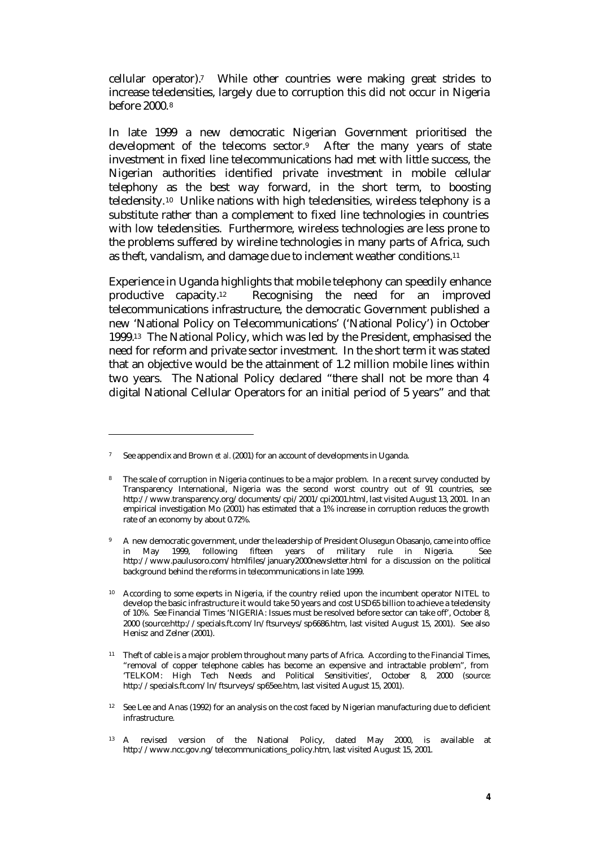cellular operator).7 While other countries were making great strides to increase teledensities, largely due to corruption this did not occur in Nigeria before 2000.<sup>8</sup>

In late 1999 a new democratic Nigerian Government prioritised the development of the telecoms sector.9 After the many years of state investment in fixed line telecommunications had met with little success, the Nigerian authorities identified private investment in mobile cellular telephony as the best way forward, in the short term, to boosting teledensity.10 Unlike nations with high teledensities, wireless telephony is a substitute rather than a complement to fixed line technologies in countries with low teledensities. Furthermore, wireless technologies are less prone to the problems suffered by wireline technologies in many parts of Africa, such as theft, vandalism, and damage due to inclement weather conditions.<sup>11</sup>

Experience in Uganda highlights that mobile telephony can speedily enhance productive capacity.12 Recognising the need for an improved telecommunications infrastructure, the democratic Government published a new 'National Policy on Telecommunications' ('National Policy') in October 1999.13 The National Policy, which was led by the President, emphasised the need for reform and private sector investment. In the short term it was stated that an objective would be the attainment of 1.2 million mobile lines within two years. The National Policy declared "there shall not be more than 4 digital National Cellular Operators for an initial period of 5 years" and that

<sup>7</sup> See appendix and Brown *et al.* (2001) for an account of developments in Uganda.

<sup>&</sup>lt;sup>8</sup> The scale of corruption in Nigeria continues to be a major problem. In a recent survey conducted by Transparency International, Nigeria was the second worst country out of 91 countries, see http://www.transparency.org/documents/cpi/2001/cpi2001.html, last visited August 13, 2001. In an empirical investigation Mo (2001) has estimated that a 1% increase in corruption reduces the growth rate of an economy by about 0.72%.

<sup>9</sup> A new democratic government, under the leadership of President Olusegun Obasanjo, came into office in May 1999, following fifteen years of military rule in Nigeria. See http://www.paulusoro.com/htmlfiles/january2000newsletter.html for a discussion on the political background behind the reforms in telecommunications in late 1999.

<sup>&</sup>lt;sup>10</sup> According to some experts in Nigeria, if the country relied upon the incumbent operator NITEL to develop the basic infrastructure it would take 50 years and cost USD65 billion to achieve a teledensity of 10%. See Financial Times 'NIGERIA: Issues must be resolved before sector can take off', October 8, 2000 (source:http://specials.ft.com/ln/ftsurveys/sp6686.htm, last visited August 15, 2001). See also Henisz and Zelner (2001).

<sup>&</sup>lt;sup>11</sup> Theft of cable is a major problem throughout many parts of Africa. According to the Financial Times, "removal of copper telephone cables has become an expensive and intractable problem", from 'TELKOM: High Tech Needs and Political Sensitivities', October 8, 2000 (source: http://specials.ft.com/ln/ftsurveys/sp65ee.htm, last visited August 15, 2001).

<sup>&</sup>lt;sup>12</sup> See Lee and Anas (1992) for an analysis on the cost faced by Nigerian manufacturing due to deficient infrastructure.

<sup>13</sup> A revised version of the National Policy, dated May 2000, is available at http://www.ncc.gov.ng/telecommunications\_policy.htm, last visited August 15, 2001.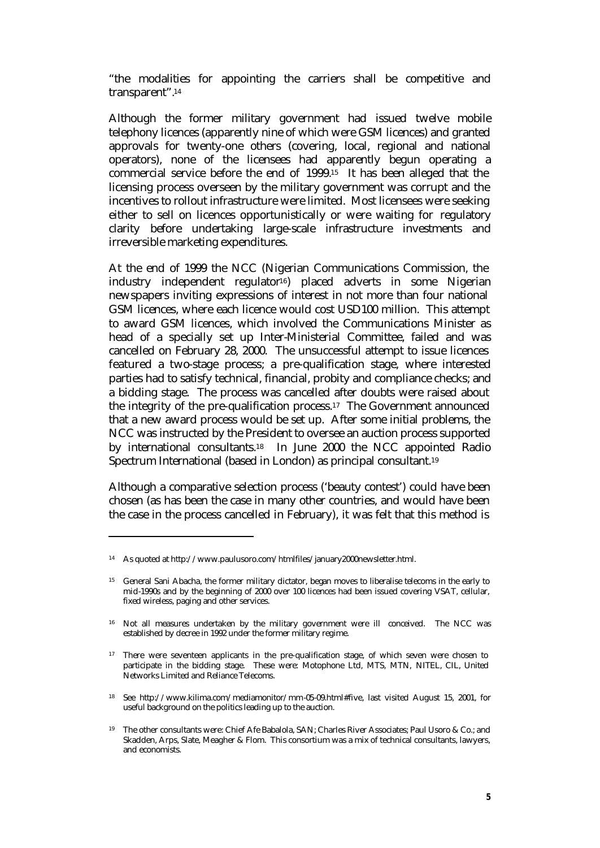"the modalities for appointing the carriers shall be competitive and transparent".<sup>14</sup>

Although the former military government had issued twelve mobile telephony licences (apparently nine of which were GSM licences) and granted approvals for twenty-one others (covering, local, regional and national operators), none of the licensees had apparently begun operating a commercial service before the end of 1999.15 It has been alleged that the licensing process overseen by the military government was corrupt and the incentives to rollout infrastructure were limited. Most licensees were seeking either to sell on licences opportunistically or were waiting for regulatory clarity before undertaking large-scale infrastructure investments and irreversible marketing expenditures.

At the end of 1999 the NCC (Nigerian Communications Commission, the industry independent regulator16) placed adverts in some Nigerian newspapers inviting expressions of interest in not more than four national GSM licences, where each licence would cost USD100 million. This attempt to award GSM licences, which involved the Communications Minister as head of a specially set up Inter-Ministerial Committee, failed and was cancelled on February 28, 2000. The unsuccessful attempt to issue licences featured a two-stage process; a pre-qualification stage, where interested parties had to satisfy technical, financial, probity and compliance checks; and a bidding stage. The process was cancelled after doubts were raised about the integrity of the pre-qualification process.17 The Government announced that a new award process would be set up. After some initial problems, the NCC was instructed by the President to oversee an auction process supported by international consultants.18 In June 2000 the NCC appointed Radio Spectrum International (based in London) as principal consultant.<sup>19</sup>

Although a comparative selection process ('beauty contest') could have been chosen (as has been the case in many other countries, and would have been the case in the process cancelled in February), it was felt that this method is

<sup>14</sup> As quoted at http://www.paulusoro.com/htmlfiles/january2000newsletter.html.

<sup>15</sup> General Sani Abacha, the former military dictator, began moves to liberalise telecoms in the early to mid-1990s and by the beginning of 2000 over 100 licences had been issued covering VSAT, cellular, fixed wireless, paging and other services.

<sup>&</sup>lt;sup>16</sup> Not all measures undertaken by the military government were ill conceived. The NCC was established by decree in 1992 under the former military regime.

<sup>&</sup>lt;sup>17</sup> There were seventeen applicants in the pre-qualification stage, of which seven were chosen to participate in the bidding stage. These were: Motophone Ltd, MTS, MTN, NITEL, CIL, United Networks Limited and Reliance Telecoms.

<sup>18</sup> See http://www.kilima.com/mediamonitor/mm-05-09.html#five, last visited August 15, 2001, for useful background on the politics leading up to the auction.

<sup>19</sup> The other consultants were: Chief Afe Babalola, SAN; Charles River Associates; Paul Usoro & Co.; and Skadden, Arps, Slate, Meagher & Flom. This consortium was a mix of technical consultants, lawyers, and economists.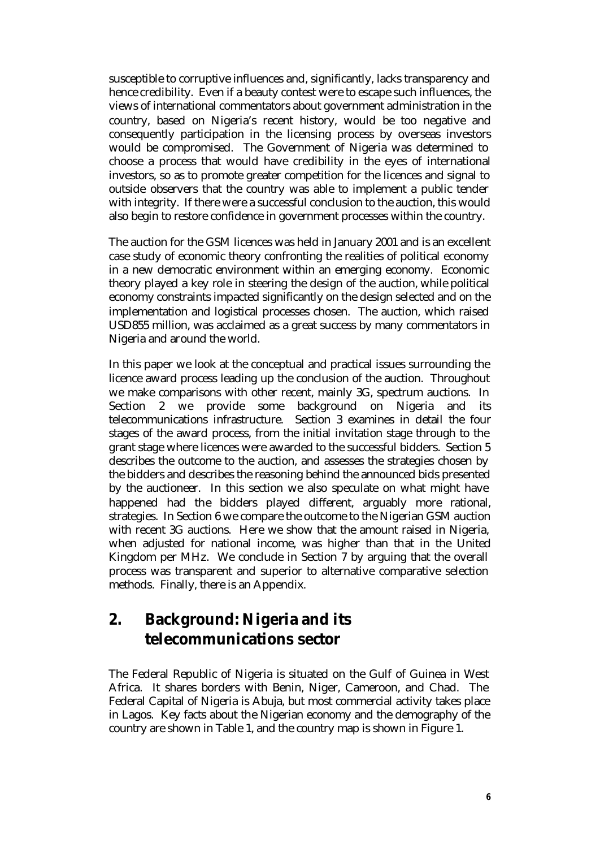susceptible to corruptive influences and, significantly, lacks transparency and hence credibility. Even if a beauty contest were to escape such influences, the views of international commentators about government administration in the country, based on Nigeria's recent history, would be too negative and consequently participation in the licensing process by overseas investors would be compromised. The Government of Nigeria was determined to choose a process that would have credibility in the eyes of international investors, so as to promote greater competition for the licences and signal to outside observers that the country was able to implement a public tender with integrity. If there were a successful conclusion to the auction, this would also begin to restore confidence in government processes within the country.

The auction for the GSM licences was held in January 2001 and is an excellent case study of economic theory confronting the realities of political economy in a new democratic environment within an emerging economy. Economic theory played a key role in steering the design of the auction, while political economy constraints impacted significantly on the design selected and on the implementation and logistical processes chosen. The auction, which raised USD855 million, was acclaimed as a great success by many commentators in Nigeria and around the world.

In this paper we look at the conceptual and practical issues surrounding the licence award process leading up the conclusion of the auction. Throughout we make comparisons with other recent, mainly 3G, spectrum auctions. In Section 2 we provide some background on Nigeria and its telecommunications infrastructure. Section 3 examines in detail the four stages of the award process, from the initial invitation stage through to the grant stage where licences were awarded to the successful bidders. Section 5 describes the outcome to the auction, and assesses the strategies chosen by the bidders and describes the reasoning behind the announced bids presented by the auctioneer. In this section we also speculate on what might have happened had the bidders played different, arguably more rational, strategies. In Section 6 we compare the outcome to the Nigerian GSM auction with recent 3G auctions. Here we show that the amount raised in Nigeria, when adjusted for national income, was higher than that in the United Kingdom per MHz. We conclude in Section 7 by arguing that the overall process was transparent and superior to alternative comparative selection methods. Finally, there is an Appendix.

## **2. Background: Nigeria and its telecommunications sector**

The Federal Republic of Nigeria is situated on the Gulf of Guinea in West Africa. It shares borders with Benin, Niger, Cameroon, and Chad. The Federal Capital of Nigeria is Abuja, but most commercial activity takes place in Lagos. Key facts about the Nigerian economy and the demography of the country are shown in Table 1, and the country map is shown in Figure 1.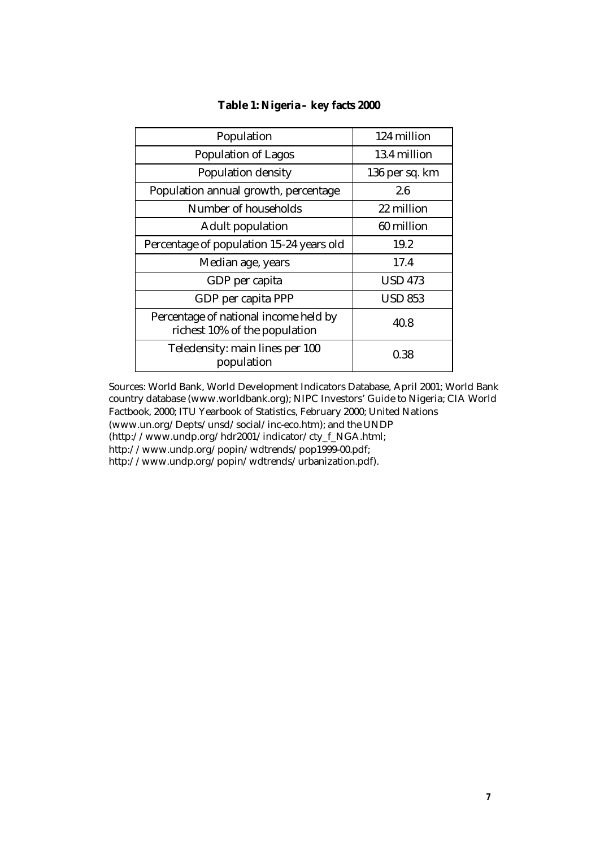| Population                                                             | 124 million    |
|------------------------------------------------------------------------|----------------|
| <b>Population of Lagos</b>                                             | 13.4 million   |
| <b>Population density</b>                                              | 136 per sq. km |
| Population annual growth, percentage                                   | 2.6            |
| Number of households                                                   | 22 million     |
| <b>Adult population</b>                                                | 60 million     |
| Percentage of population 15-24 years old                               | 19.2           |
| Median age, years                                                      | 17.4           |
| GDP per capita                                                         | <b>USD 473</b> |
| GDP per capita PPP                                                     | <b>USD 853</b> |
| Percentage of national income held by<br>richest 10% of the population | 40.8           |
| Teledensity: main lines per 100<br>population                          | 0.38           |

#### **Table 1: Nigeria – key facts 2000**

Sources: World Bank, World Development Indicators Database, April 2001; World Bank country database (www.worldbank.org); NIPC Investors' Guide to Nigeria; CIA World Factbook, 2000; ITU Yearbook of Statistics, February 2000; United Nations (www.un.org/Depts/unsd/social/inc-eco.htm); and the UNDP (http://www.undp.org/hdr2001/indicator/cty\_f\_NGA.html; http://www.undp.org/popin/wdtrends/pop1999-00.pdf; http://www.undp.org/popin/wdtrends/urbanization.pdf).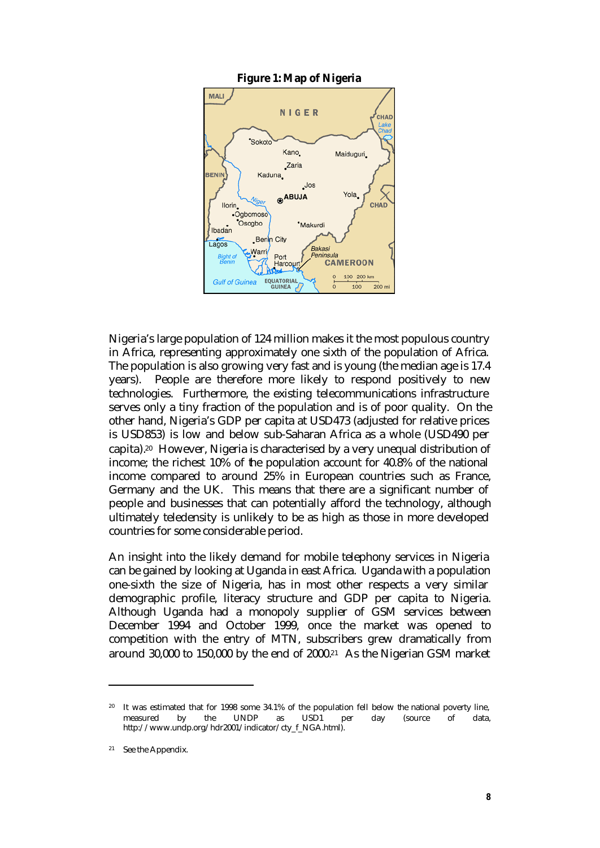

Nigeria's large population of 124 million makes it the most populous country in Africa, representing approximately one sixth of the population of Africa. The population is also growing very fast and is young (the median age is 17.4 years). People are therefore more likely to respond positively to new technologies. Furthermore, the existing telecommunications infrastructure serves only a tiny fraction of the population and is of poor quality. On the other hand, Nigeria's GDP per capita at USD473 (adjusted for relative prices is USD853) is low and below sub-Saharan Africa as a whole (USD490 per capita).20 However, Nigeria is characterised by a very unequal distribution of income; the richest 10% of the population account for 40.8% of the national income compared to around 25% in European countries such as France, Germany and the UK. This means that there are a significant number of people and businesses that can potentially afford the technology, although ultimately teledensity is unlikely to be as high as those in more developed countries for some considerable period.

An insight into the likely demand for mobile telephony services in Nigeria can be gained by looking at Uganda in east Africa. Uganda with a population one-sixth the size of Nigeria, has in most other respects a very similar demographic profile, literacy structure and GDP per capita to Nigeria. Although Uganda had a monopoly supplier of GSM services between December 1994 and October 1999, once the market was opened to competition with the entry of MTN, subscribers grew dramatically from around 30,000 to 150,000 by the end of 2000.21 As the Nigerian GSM market

It was estimated that for 1998 some 34.1% of the population fell below the national poverty line, measured by the UNDP as USD1 per day (source of data, http://www.undp.org/hdr2001/indicator/cty\_f\_NGA.html).

<sup>21</sup> See the Appendix.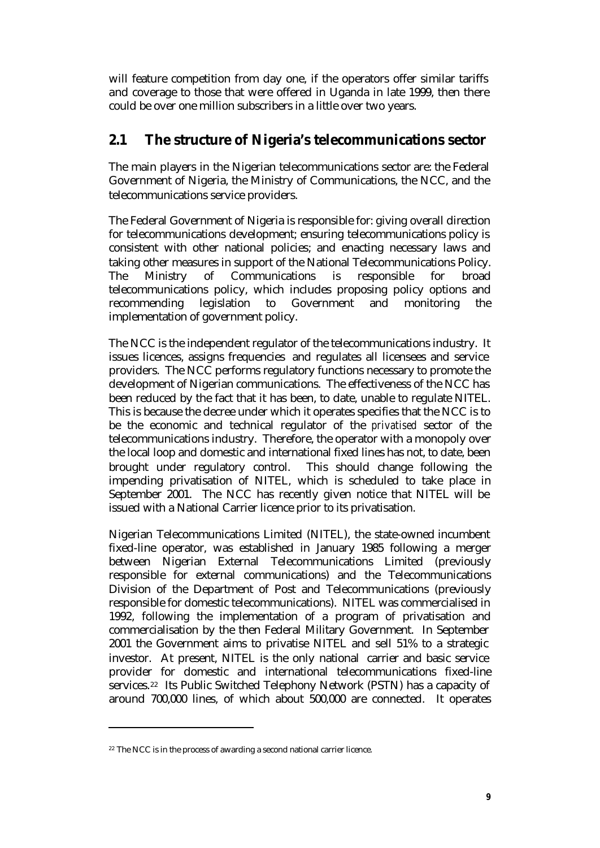will feature competition from day one, if the operators offer similar tariffs and coverage to those that were offered in Uganda in late 1999, then there could be over one million subscribers in a little over two years.

### **2.1 The structure of Nigeria's telecommunications sector**

The main players in the Nigerian telecommunications sector are: the Federal Government of Nigeria, the Ministry of Communications, the NCC, and the telecommunications service providers.

The Federal Government of Nigeria is responsible for: giving overall direction for telecommunications development; ensuring telecommunications policy is consistent with other national policies; and enacting necessary laws and taking other measures in support of the National Telecommunications Policy. The Ministry of Communications is responsible for broad telecommunications policy, which includes proposing policy options and recommending legislation to Government and monitoring the implementation of government policy.

The NCC is the independent regulator of the telecommunications industry. It issues licences, assigns frequencies and regulates all licensees and service providers. The NCC performs regulatory functions necessary to promote the development of Nigerian communications. The effectiveness of the NCC has been reduced by the fact that it has been, to date, unable to regulate NITEL. This is because the decree under which it operates specifies that the NCC is to be the economic and technical regulator of the *privatised* sector of the telecommunications industry. Therefore, the operator with a monopoly over the local loop and domestic and international fixed lines has not, to date, been brought under regulatory control. This should change following the impending privatisation of NITEL, which is scheduled to take place in September 2001. The NCC has recently given notice that NITEL will be issued with a National Carrier licence prior to its privatisation.

Nigerian Telecommunications Limited (NITEL), the state-owned incumbent fixed-line operator, was established in January 1985 following a merger between Nigerian External Telecommunications Limited (previously responsible for external communications) and the Telecommunications Division of the Department of Post and Telecommunications (previously responsible for domestic telecommunications). NITEL was commercialised in 1992, following the implementation of a program of privatisation and commercialisation by the then Federal Military Government. In September 2001 the Government aims to privatise NITEL and sell 51% to a strategic investor. At present, NITEL is the only national carrier and basic service provider for domestic and international telecommunications fixed-line services.<sup>22</sup> Its Public Switched Telephony Network (PSTN) has a capacity of around 700,000 lines, of which about 500,000 are connected. It operates

<sup>&</sup>lt;sup>22</sup> The NCC is in the process of awarding a second national carrier licence.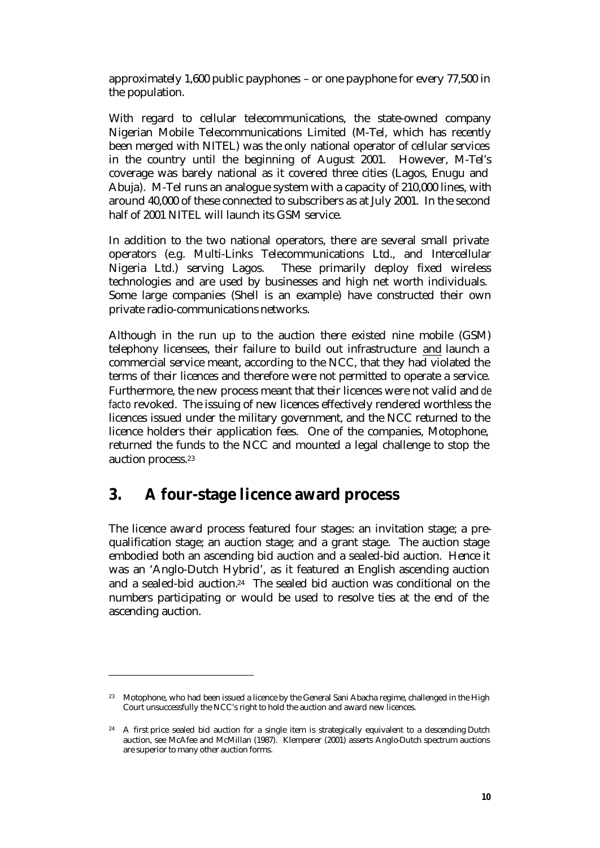approximately 1,600 public payphones – or one payphone for every 77,500 in the population.

With regard to cellular telecommunications, the state-owned company Nigerian Mobile Telecommunications Limited (M-Tel, which has recently been merged with NITEL) was the only national operator of cellular services in the country until the beginning of August 2001. However, M-Tel's coverage was barely national as it covered three cities (Lagos, Enugu and Abuja). M-Tel runs an analogue system with a capacity of 210,000 lines, with around 40,000 of these connected to subscribers as at July 2001. In the second half of 2001 NITEL will launch its GSM service.

In addition to the two national operators, there are several small private operators (e.g. Multi-Links Telecommunications Ltd., and Intercellular Nigeria Ltd.) serving Lagos. These primarily deploy fixed wireless technologies and are used by businesses and high net worth individuals. Some large companies (Shell is an example) have constructed their own private radio-communications networks.

Although in the run up to the auction there existed nine mobile (GSM) telephony licensees, their failure to build out infrastructure and launch a commercial service meant, according to the NCC, that they had violated the terms of their licences and therefore were not permitted to operate a service. Furthermore, the new process meant that their licences were not valid and *de facto* revoked. The issuing of new licences effectively rendered worthless the licences issued under the military government, and the NCC returned to the licence holders their application fees. One of the companies, Motophone, returned the funds to the NCC and mounted a legal challenge to stop the auction process.<sup>23</sup>

## **3. A four-stage licence award process**

 $\overline{a}$ 

The licence award process featured four stages: an invitation stage; a prequalification stage; an auction stage; and a grant stage. The auction stage embodied both an ascending bid auction and a sealed-bid auction. Hence it was an 'Anglo-Dutch Hybrid', as it featured an English ascending auction and a sealed-bid auction.24 The sealed bid auction was conditional on the numbers participating or would be used to resolve ties at the end of the ascending auction.

<sup>&</sup>lt;sup>23</sup> Motophone, who had been issued a licence by the General Sani Abacha regime, challenged in the High Court unsuccessfully the NCC's right to hold the auction and award new licences.

<sup>&</sup>lt;sup>24</sup> A first price sealed bid auction for a single item is strategically equivalent to a descending Dutch auction, see McAfee and McMillan (1987). Klemperer (2001) asserts Anglo-Dutch spectrum auctions are superior to many other auction forms.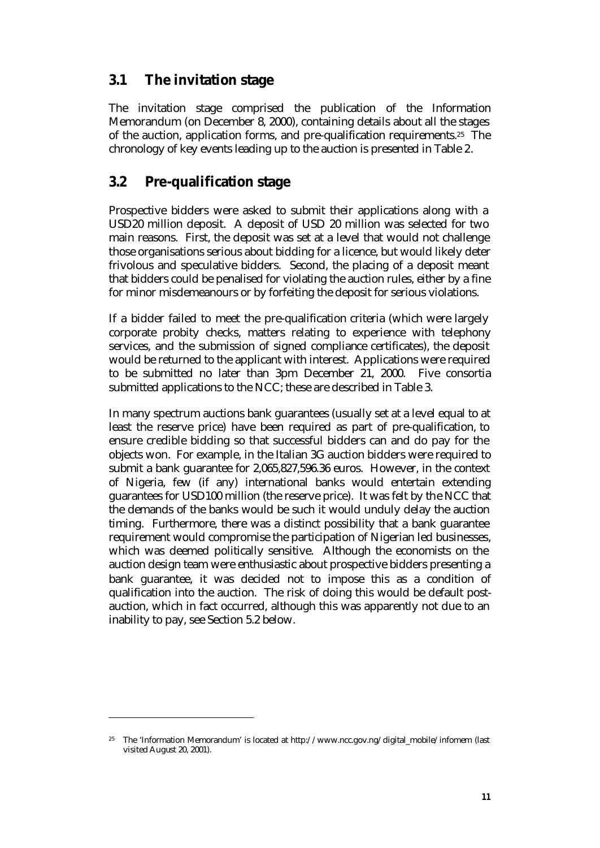### **3.1 The invitation stage**

The invitation stage comprised the publication of the Information Memorandum (on December 8, 2000), containing details about all the stages of the auction, application forms, and pre-qualification requirements.25 The chronology of key events leading up to the auction is presented in Table 2.

### **3.2 Pre-qualification stage**

Prospective bidders were asked to submit their applications along with a USD20 million deposit. A deposit of USD 20 million was selected for two main reasons. First, the deposit was set at a level that would not challenge those organisations serious about bidding for a licence, but would likely deter frivolous and speculative bidders. Second, the placing of a deposit meant that bidders could be penalised for violating the auction rules, either by a fine for minor misdemeanours or by forfeiting the deposit for serious violations.

If a bidder failed to meet the pre-qualification criteria (which were largely corporate probity checks, matters relating to experience with telephony services, and the submission of signed compliance certificates), the deposit would be returned to the applicant with interest. Applications were required to be submitted no later than 3pm December 21, 2000. Five consortia submitted applications to the NCC; these are described in Table 3.

In many spectrum auctions bank guarantees (usually set at a level equal to at least the reserve price) have been required as part of pre-qualification, to ensure credible bidding so that successful bidders can and do pay for the objects won. For example, in the Italian 3G auction bidders were required to submit a bank guarantee for 2,065,827,596.36 euros. However, in the context of Nigeria, few (if any) international banks would entertain extending guarantees for USD100 million (the reserve price). It was felt by the NCC that the demands of the banks would be such it would unduly delay the auction timing. Furthermore, there was a distinct possibility that a bank guarantee requirement would compromise the participation of Nigerian led businesses, which was deemed politically sensitive. Although the economists on the auction design team were enthusiastic about prospective bidders presenting a bank guarantee, it was decided not to impose this as a condition of qualification into the auction. The risk of doing this would be default postauction, which in fact occurred, although this was apparently not due to an inability to pay, see Section 5.2 below.

<sup>25</sup> The 'Information Memorandum' is located at http://www.ncc.gov.ng/digital\_mobile/infomem (last visited August 20, 2001).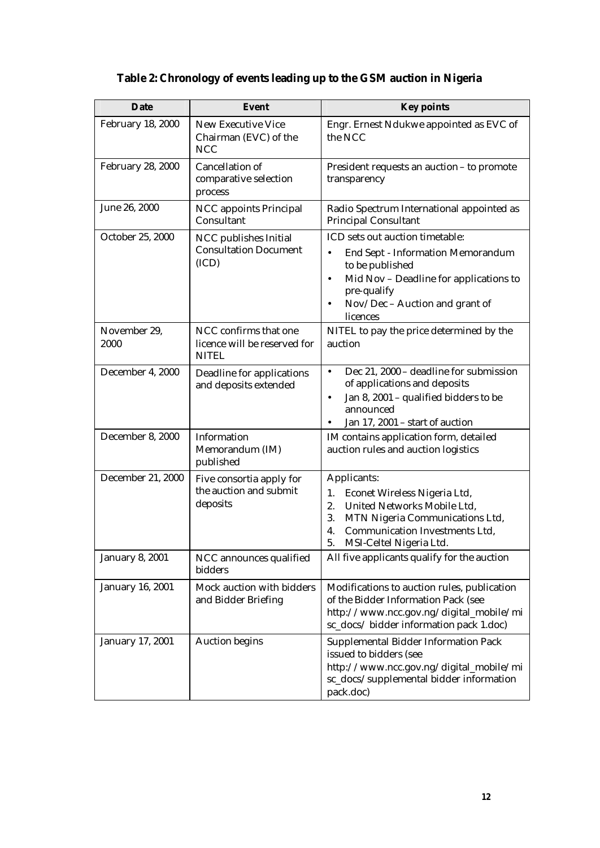## **Table 2: Chronology of events leading up to the GSM auction in Nigeria**

| <b>Date</b>              | <b>Event</b>                                                          | <b>Key points</b>                                                                                                                                                                                                                     |
|--------------------------|-----------------------------------------------------------------------|---------------------------------------------------------------------------------------------------------------------------------------------------------------------------------------------------------------------------------------|
| <b>February 18, 2000</b> | <b>New Executive Vice</b><br>Chairman (EVC) of the<br><b>NCC</b>      | Engr. Ernest Ndukwe appointed as EVC of<br>the NCC                                                                                                                                                                                    |
| <b>February 28, 2000</b> | Cancellation of<br>comparative selection<br>process                   | President requests an auction - to promote<br>transparency                                                                                                                                                                            |
| June 26, 2000            | <b>NCC</b> appoints Principal<br>Consultant                           | Radio Spectrum International appointed as<br><b>Principal Consultant</b>                                                                                                                                                              |
| October 25, 2000         | NCC publishes Initial<br><b>Consultation Document</b><br>(ICD)        | ICD sets out auction timetable:<br>End Sept - Information Memorandum<br>$\bullet$<br>to be published<br>Mid Nov - Deadline for applications to<br>$\bullet$<br>pre-qualify<br>Nov/Dec - Auction and grant of<br>$\bullet$<br>licences |
| November 29,<br>2000     | NCC confirms that one<br>licence will be reserved for<br><b>NITEL</b> | NITEL to pay the price determined by the<br>auction                                                                                                                                                                                   |
| December 4, 2000         | Deadline for applications<br>and deposits extended                    | Dec 21, 2000 - deadline for submission<br>$\bullet$<br>of applications and deposits<br>Jan 8, 2001 - qualified bidders to be<br>$\bullet$<br>announced<br>Jan 17, 2001 - start of auction                                             |
| December 8, 2000         | Information<br>Memorandum (IM)<br>published                           | IM contains application form, detailed<br>auction rules and auction logistics                                                                                                                                                         |
| December 21, 2000        | Five consortia apply for<br>the auction and submit<br>deposits        | Applicants:<br>1.<br>Econet Wireless Nigeria Ltd,<br>2.<br>United Networks Mobile Ltd,<br>3.<br>MTN Nigeria Communications Ltd,<br>4.<br>Communication Investments Ltd,<br>5.<br>MSI-Celtel Nigeria Ltd.                              |
| <b>January 8, 2001</b>   | NCC announces qualified<br>bidders                                    | All five applicants qualify for the auction                                                                                                                                                                                           |
| January 16, 2001         | Mock auction with bidders<br>and Bidder Briefing                      | Modifications to auction rules, publication<br>of the Bidder Information Pack (see<br>http://www.ncc.gov.ng/digital_mobile/mi<br>sc_docs/bidder information pack 1.doc)                                                               |
| January 17, 2001         | <b>Auction begins</b>                                                 | <b>Supplemental Bidder Information Pack</b><br>issued to bidders (see<br>http://www.ncc.gov.ng/digital_mobile/mi<br>sc_docs/supplemental bidder information<br>pack.doc)                                                              |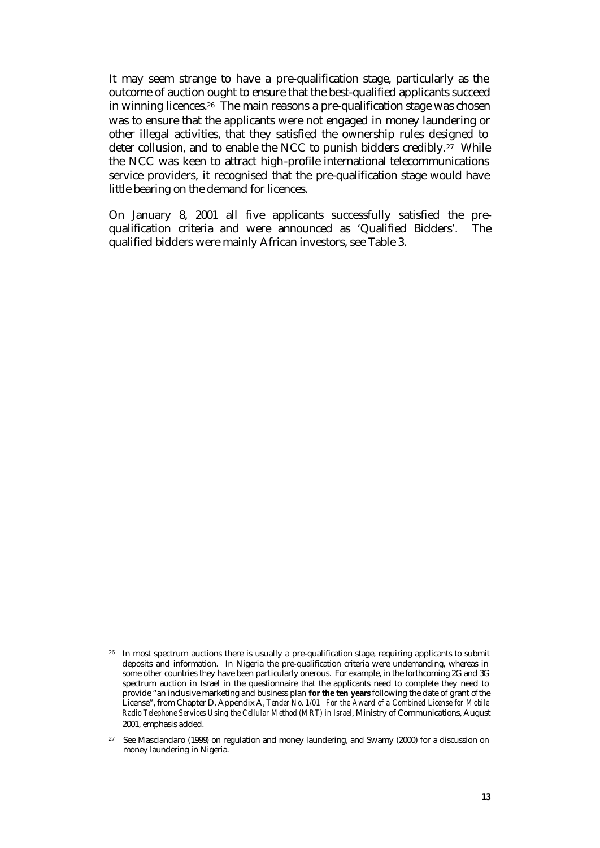It may seem strange to have a pre-qualification stage, particularly as the outcome of auction ought to ensure that the best-qualified applicants succeed in winning licences.26 The main reasons a pre-qualification stage was chosen was to ensure that the applicants were not engaged in money laundering or other illegal activities, that they satisfied the ownership rules designed to deter collusion, and to enable the NCC to punish bidders credibly.<sup>27</sup> While the NCC was keen to attract high-profile international telecommunications service providers, it recognised that the pre-qualification stage would have little bearing on the demand for licences.

On January 8, 2001 all five applicants successfully satisfied the prequalification criteria and were announced as 'Qualified Bidders'. The qualified bidders were mainly African investors, see Table 3.

<sup>&</sup>lt;sup>26</sup> In most spectrum auctions there is usually a pre-qualification stage, requiring applicants to submit deposits and information. In Nigeria the pre-qualification criteria were undemanding, whereas in some other countries they have been particularly onerous. For example, in the forthcoming 2G and 3G spectrum auction in Israel in the questionnaire that the applicants need to complete they need to provide "an inclusive marketing and business plan **for the ten years** following the date of grant of the License", from Chapter D, Appendix A, *Tender No. 1/01 For the Award of a Combined License for Mobile Radio Telephone Services Using the Cellular Method (MRT) in Israel*, Ministry of Communications, August 2001, emphasis added.

 $27$  See Masciandaro (1999) on regulation and money laundering, and Swamy (2000) for a discussion on money laundering in Nigeria.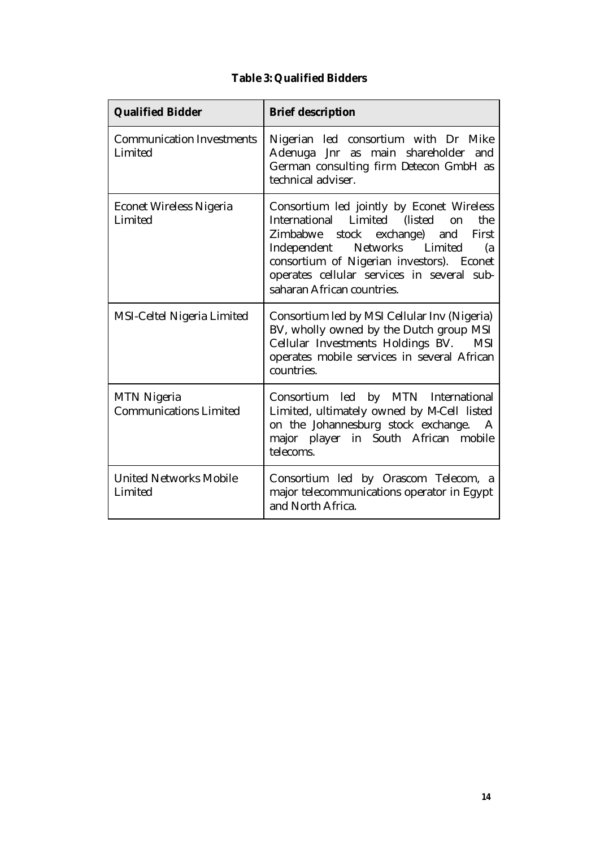|  |  |  |  | <b>Table 3: Qualified Bidders</b> |
|--|--|--|--|-----------------------------------|
|--|--|--|--|-----------------------------------|

| <b>Qualified Bidder</b>                             | <b>Brief description</b>                                                                                                                                                                                                                                                                         |
|-----------------------------------------------------|--------------------------------------------------------------------------------------------------------------------------------------------------------------------------------------------------------------------------------------------------------------------------------------------------|
| <b>Communication Investments</b><br>Limited         | Nigerian led consortium with Dr Mike<br>Adenuga Jnr as main shareholder and<br>German consulting firm Detecon GmbH as<br>technical adviser.                                                                                                                                                      |
| <b>Econet Wireless Nigeria</b><br>Limited           | Consortium led jointly by Econet Wireless<br>International Limited (listed<br>on<br>the<br>Zimbabwe stock exchange) and<br>First<br>Independent Networks Limited<br>(a)<br>consortium of Nigerian investors). Econet<br>operates cellular services in several sub-<br>saharan African countries. |
| MSI-Celtel Nigeria Limited                          | Consortium led by MSI Cellular Inv (Nigeria)<br>BV, wholly owned by the Dutch group MSI<br>Cellular Investments Holdings BV.<br><b>MSI</b><br>operates mobile services in several African<br>countries.                                                                                          |
| <b>MTN Nigeria</b><br><b>Communications Limited</b> | Consortium led by MTN International<br>Limited, ultimately owned by M-Cell listed<br>on the Johannesburg stock exchange.<br>major player in South African mobile<br>telecoms.                                                                                                                    |
| <b>United Networks Mobile</b><br>Limited            | Consortium led by Orascom Telecom, a<br>major telecommunications operator in Egypt<br>and North Africa.                                                                                                                                                                                          |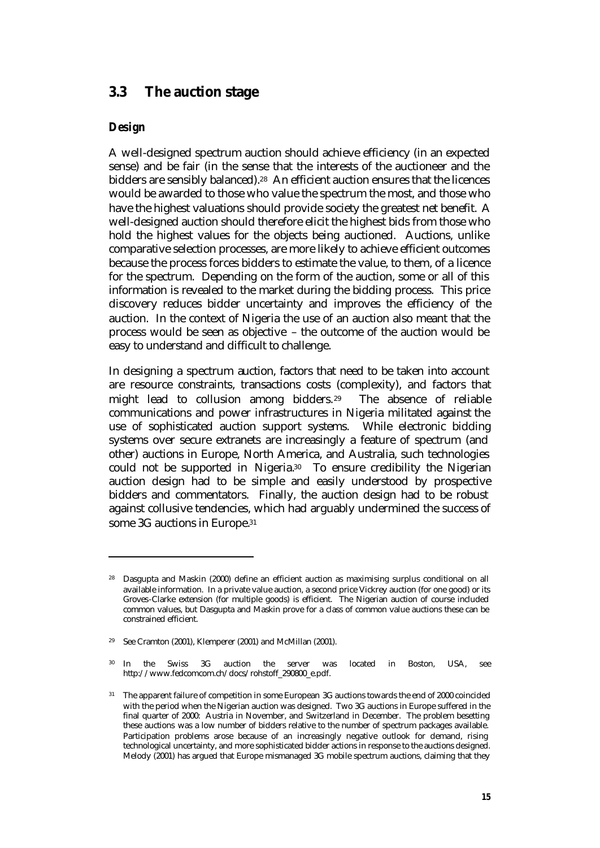### **3.3 The auction stage**

#### *Design*

 $\overline{a}$ 

A well-designed spectrum auction should achieve efficiency (in an expected sense) and be fair (in the sense that the interests of the auctioneer and the bidders are sensibly balanced).<sup>28</sup> An efficient auction ensures that the licences would be awarded to those who value the spectrum the most, and those who have the highest valuations should provide society the greatest net benefit. A well-designed auction should therefore elicit the highest bids from those who hold the highest values for the objects being auctioned. Auctions, unlike comparative selection processes, are more likely to achieve efficient outcomes because the process forces bidders to estimate the value, to them, of a licence for the spectrum. Depending on the form of the auction, some or all of this information is revealed to the market during the bidding process. This price discovery reduces bidder uncertainty and improves the efficiency of the auction. In the context of Nigeria the use of an auction also meant that the process would be seen as objective – the outcome of the auction would be easy to understand and difficult to challenge.

In designing a spectrum auction, factors that need to be taken into account are resource constraints, transactions costs (complexity), and factors that might lead to collusion among bidders.29 The absence of reliable communications and power infrastructures in Nigeria militated against the use of sophisticated auction support systems. While electronic bidding systems over secure extranets are increasingly a feature of spectrum (and other) auctions in Europe, North America, and Australia, such technologies could not be supported in Nigeria.30 To ensure credibility the Nigerian auction design had to be simple and easily understood by prospective bidders and commentators. Finally, the auction design had to be robust against collusive tendencies, which had arguably undermined the success of some 3G auctions in Europe.31

<sup>&</sup>lt;sup>28</sup> Dasgupta and Maskin (2000) define an efficient auction as maximising surplus conditional on all available information. In a private value auction, a second price Vickrey auction (for one good) or its Groves-Clarke extension (for multiple goods) is efficient. The Nigerian auction of course included common values, but Dasgupta and Maskin prove for a class of common value auctions these can be constrained efficient.

<sup>29</sup> See Cramton (2001), Klemperer (2001) and McMillan (2001).

<sup>30</sup> In the Swiss 3G auction the server was located in Boston, USA, see http://www.fedcomcom.ch/docs/rohstoff\_290800\_e.pdf.

<sup>&</sup>lt;sup>31</sup> The apparent failure of competition in some European 3G auctions towards the end of 2000 coincided with the period when the Nigerian auction was designed. Two 3G auctions in Europe suffered in the final quarter of 2000: Austria in November, and Switzerland in December. The problem besetting these auctions was a low number of bidders relative to the number of spectrum packages available. Participation problems arose because of an increasingly negative outlook for demand, rising technological uncertainty, and more sophisticated bidder actions in response to the auctions designed. Melody (2001) has argued that Europe mismanaged 3G mobile spectrum auctions, claiming that they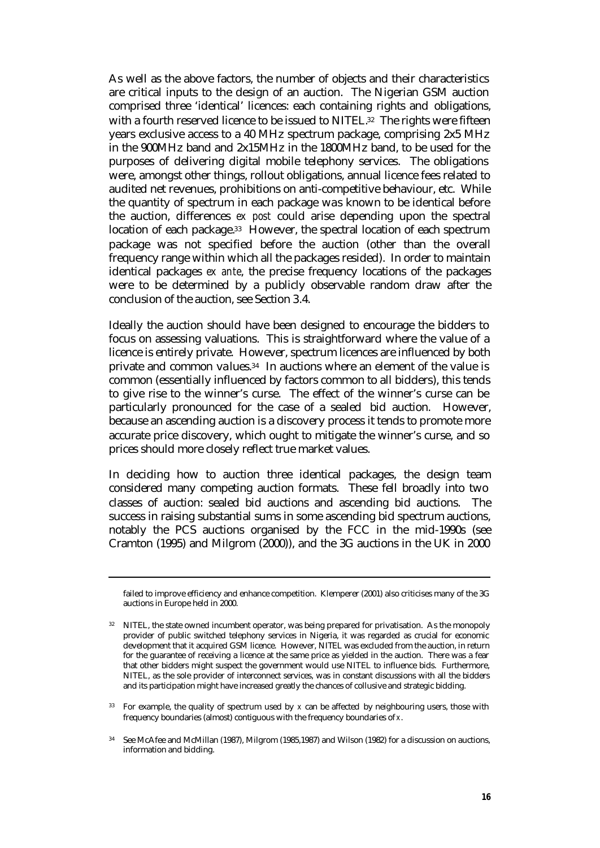As well as the above factors, the number of objects and their characteristics are critical inputs to the design of an auction. The Nigerian GSM auction comprised three 'identical' licences: each containing rights and obligations, with a fourth reserved licence to be issued to NITEL.<sup>32</sup> The rights were fifteen years exclusive access to a 40 MHz spectrum package, comprising 2x5 MHz in the 900MHz band and 2x15MHz in the 1800MHz band, to be used for the purposes of delivering digital mobile telephony services. The obligations were, amongst other things, rollout obligations, annual licence fees related to audited net revenues, prohibitions on anti-competitive behaviour, etc. While the quantity of spectrum in each package was known to be identical before the auction, differences *ex post* could arise depending upon the spectral location of each package.33 However, the spectral location of each spectrum package was not specified before the auction (other than the overall frequency range within which all the packages resided). In order to maintain identical packages *ex ante*, the precise frequency locations of the packages were to be determined by a publicly observable random draw after the conclusion of the auction, see Section 3.4.

Ideally the auction should have been designed to encourage the bidders to focus on assessing valuations. This is straightforward where the value of a licence is entirely private. However, spectrum licences are influenced by both private and common values.34 In auctions where an element of the value is common (essentially influenced by factors common to all bidders), this tends to give rise to the winner's curse. The effect of the winner's curse can be particularly pronounced for the case of a sealed bid auction. However, because an ascending auction is a discovery process it tends to promote more accurate price discovery, which ought to mitigate the winner's curse, and so prices should more closely reflect true market values.

In deciding how to auction three identical packages, the design team considered many competing auction formats. These fell broadly into two classes of auction: sealed bid auctions and ascending bid auctions. The success in raising substantial sums in some ascending bid spectrum auctions, notably the PCS auctions organised by the FCC in the mid-1990s (see Cramton (1995) and Milgrom (2000)), and the 3G auctions in the UK in 2000

failed to improve efficiency and enhance competition. Klemperer (2001) also criticises many of the 3G auctions in Europe held in 2000.

<sup>&</sup>lt;sup>32</sup> NITEL, the state owned incumbent operator, was being prepared for privatisation. As the monopoly provider of public switched telephony services in Nigeria, it was regarded as crucial for economic development that it acquired GSM licence. However, NITEL was excluded from the auction, in return for the guarantee of receiving a licence at the same price as yielded in the auction. There was a fear that other bidders might suspect the government would use NITEL to influence bids. Furthermore, NITEL, as the sole provider of interconnect services, was in constant discussions with all the bidders and its participation might have increased greatly the chances of collusive and strategic bidding.

<sup>33</sup> For example, the quality of spectrum used by *x* can be affected by neighbouring users, those with frequency boundaries (almost) contiguous with the frequency boundaries of *x*.

<sup>34</sup> See McAfee and McMillan (1987), Milgrom (1985,1987) and Wilson (1982) for a discussion on auctions, information and bidding.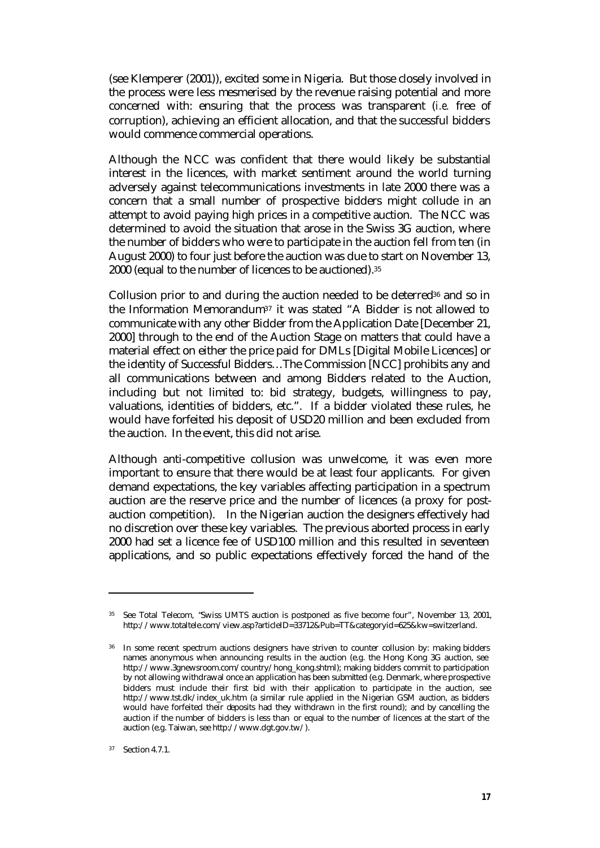(see Klemperer (2001)), excited some in Nigeria. But those closely involved in the process were less mesmerised by the revenue raising potential and more concerned with: ensuring that the process was transparent (*i.e.* free of corruption), achieving an efficient allocation, and that the successful bidders would commence commercial operations.

Although the NCC was confident that there would likely be substantial interest in the licences, with market sentiment around the world turning adversely against telecommunications investments in late 2000 there was a concern that a small number of prospective bidders might collude in an attempt to avoid paying high prices in a competitive auction. The NCC was determined to avoid the situation that arose in the Swiss 3G auction, where the number of bidders who were to participate in the auction fell from ten (in August 2000) to four just before the auction was due to start on November 13, 2000 (equal to the number of licences to be auctioned).<sup>35</sup>

Collusion prior to and during the auction needed to be deterred<sup>36</sup> and so in the Information Memorandum37 it was stated "A Bidder is not allowed to communicate with any other Bidder from the Application Date [December 21, 2000] through to the end of the Auction Stage on matters that could have a material effect on either the price paid for DMLs [Digital Mobile Licences] or the identity of Successful Bidders…The Commission [NCC] prohibits any and all communications between and among Bidders related to the Auction, including but not limited to: bid strategy, budgets, willingness to pay, valuations, identities of bidders, etc.". If a bidder violated these rules, he would have forfeited his deposit of USD20 million and been excluded from the auction. In the event, this did not arise.

Although anti-competitive collusion was unwelcome, it was even more important to ensure that there would be at least four applicants. For given demand expectations, the key variables affecting participation in a spectrum auction are the reserve price and the number of licences (a proxy for postauction competition). In the Nigerian auction the designers effectively had no discretion over these key variables. The previous aborted process in early 2000 had set a licence fee of USD100 million and this resulted in seventeen applications, and so public expectations effectively forced the hand of the

<sup>35</sup> See Total Telecom, "Swiss UMTS auction is postponed as five become four", November 13, 2001, http://www.totaltele.com/view.asp?articleID=33712&Pub=TT&categoryid=625&kw=switzerland.

<sup>&</sup>lt;sup>36</sup> In some recent spectrum auctions designers have striven to counter collusion by: making bidders names anonymous when announcing results in the auction (e.g. the Hong Kong 3G auction, see http://www.3gnewsroom.com/country/hong\_kong.shtml); making bidders commit to participation by not allowing withdrawal once an application has been submitted (e.g. Denmark, where prospective bidders must include their first bid with their application to participate in the auction, see http://www.tst.dk/index\_uk.htm (a similar rule applied in the Nigerian GSM auction, as bidders would have forfeited their deposits had they withdrawn in the first round); and by cancelling the auction if the number of bidders is less than or equal to the number of licences at the start of the auction (e.g. Taiwan, see http://www.dgt.gov.tw/).

<sup>37</sup> Section 4.7.1.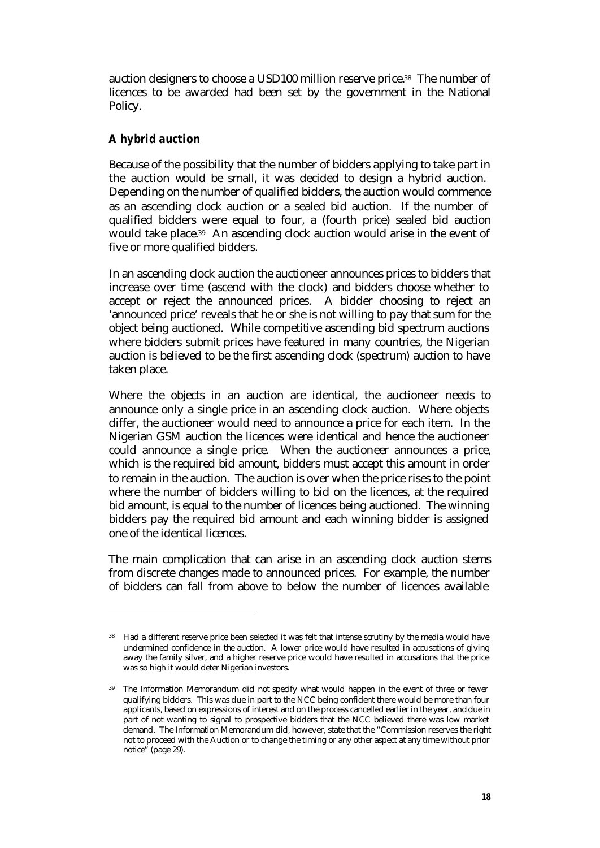auction designers to choose a USD100 million reserve price.38 The number of licences to be awarded had been set by the government in the National Policy.

### *A hybrid auction*

 $\overline{a}$ 

Because of the possibility that the number of bidders applying to take part in the auction would be small, it was decided to design a hybrid auction. Depending on the number of qualified bidders, the auction would commence as an ascending clock auction or a sealed bid auction. If the number of qualified bidders were equal to four, a (fourth price) sealed bid auction would take place.39 An ascending clock auction would arise in the event of five or more qualified bidders.

In an ascending clock auction the auctioneer announces prices to bidders that increase over time (ascend with the clock) and bidders choose whether to accept or reject the announced prices. A bidder choosing to reject an 'announced price' reveals that he or she is not willing to pay that sum for the object being auctioned. While competitive ascending bid spectrum auctions where bidders submit prices have featured in many countries, the Nigerian auction is believed to be the first ascending clock (spectrum) auction to have taken place.

Where the objects in an auction are identical, the auctioneer needs to announce only a single price in an ascending clock auction. Where objects differ, the auctioneer would need to announce a price for each item. In the Nigerian GSM auction the licences were identical and hence the auctioneer could announce a single price. When the auctioneer announces a price, which is the required bid amount, bidders must accept this amount in order to remain in the auction. The auction is over when the price rises to the point where the number of bidders willing to bid on the licences, at the required bid amount, is equal to the number of licences being auctioned. The winning bidders pay the required bid amount and each winning bidder is assigned one of the identical licences.

The main complication that can arise in an ascending clock auction stems from discrete changes made to announced prices. For example, the number of bidders can fall from above to below the number of licences available

<sup>&</sup>lt;sup>38</sup> Had a different reserve price been selected it was felt that intense scrutiny by the media would have undermined confidence in the auction. A lower price would have resulted in accusations of giving away the family silver, and a higher reserve price would have resulted in accusations that the price was so high it would deter Nigerian investors.

<sup>&</sup>lt;sup>39</sup> The Information Memorandum did not specify what would happen in the event of three or fewer qualifying bidders. This was due in part to the NCC being confident there would be more than four applicants, based on expressions of interest and on the process cancelled earlier in the year, and due in part of not wanting to signal to prospective bidders that the NCC believed there was low market demand. The Information Memorandum did, however, state that the "Commission reserves the right not to proceed with the Auction or to change the timing or any other aspect at any time without prior notice" (page 29).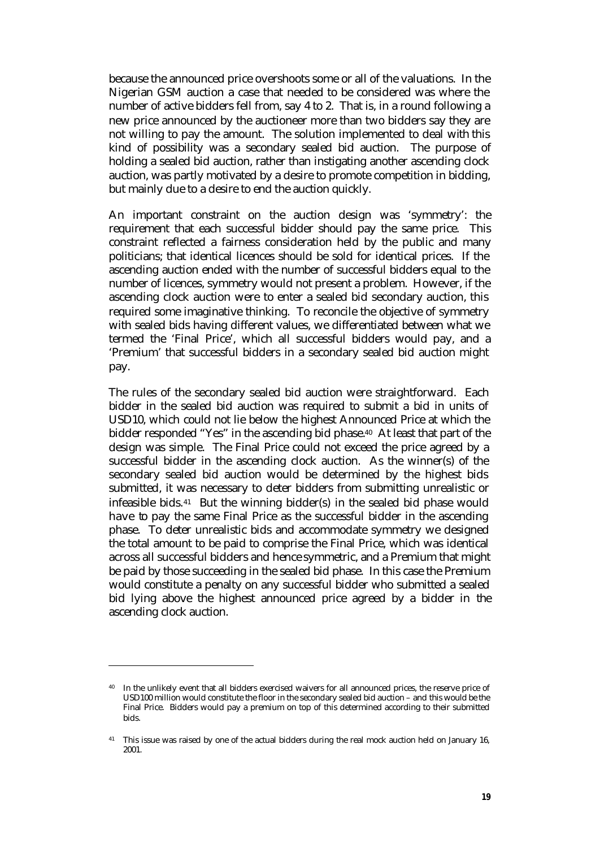because the announced price overshoots some or all of the valuations. In the Nigerian GSM auction a case that needed to be considered was where the number of active bidders fell from, say 4 to 2. That is, in a round following a new price announced by the auctioneer more than two bidders say they are not willing to pay the amount. The solution implemented to deal with this kind of possibility was a secondary sealed bid auction. The purpose of holding a sealed bid auction, rather than instigating another ascending clock auction, was partly motivated by a desire to promote competition in bidding, but mainly due to a desire to end the auction quickly.

An important constraint on the auction design was 'symmetry': the requirement that each successful bidder should pay the same price. This constraint reflected a fairness consideration held by the public and many politicians; that identical licences should be sold for identical prices. If the ascending auction ended with the number of successful bidders equal to the number of licences, symmetry would not present a problem. However, if the ascending clock auction were to enter a sealed bid secondary auction, this required some imaginative thinking. To reconcile the objective of symmetry with sealed bids having different values, we differentiated between what we termed the 'Final Price', which all successful bidders would pay, and a 'Premium' that successful bidders in a secondary sealed bid auction might pay.

The rules of the secondary sealed bid auction were straightforward. Each bidder in the sealed bid auction was required to submit a bid in units of USD10, which could not lie below the highest Announced Price at which the bidder responded "Yes" in the ascending bid phase. <sup>40</sup> At least that part of the design was simple. The Final Price could not exceed the price agreed by a successful bidder in the ascending clock auction. As the winner(s) of the secondary sealed bid auction would be determined by the highest bids submitted, it was necessary to deter bidders from submitting unrealistic or infeasible bids.41 But the winning bidder(s) in the sealed bid phase would have to pay the same Final Price as the successful bidder in the ascending phase. To deter unrealistic bids and accommodate symmetry we designed the total amount to be paid to comprise the Final Price, which was identical across all successful bidders and hence symmetric, and a Premium that might be paid by those succeeding in the sealed bid phase. In this case the Premium would constitute a penalty on any successful bidder who submitted a sealed bid lying above the highest announced price agreed by a bidder in the ascending clock auction.

In the unlikely event that all bidders exercised waivers for all announced prices, the reserve price of USD100 million would constitute the floor in the secondary sealed bid auction – and this would be the Final Price. Bidders would pay a premium on top of this determined according to their submitted bids.

<sup>&</sup>lt;sup>41</sup> This issue was raised by one of the actual bidders during the real mock auction held on January 16, 2001.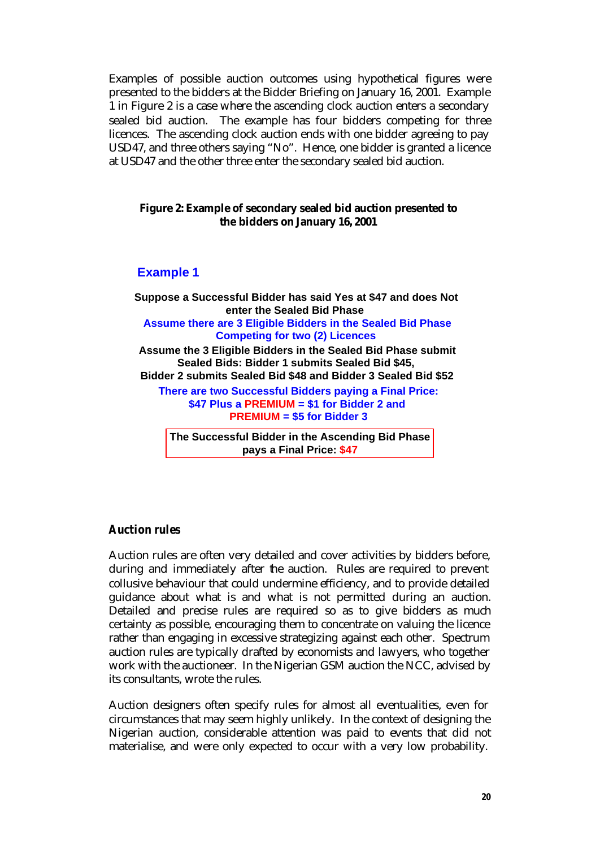Examples of possible auction outcomes using hypothetical figures were presented to the bidders at the Bidder Briefing on January 16, 2001. Example 1 in Figure 2 is a case where the ascending clock auction enters a secondary sealed bid auction. The example has four bidders competing for three licences. The ascending clock auction ends with one bidder agreeing to pay USD47, and three others saying "No". Hence, one bidder is granted a licence at USD47 and the other three enter the secondary sealed bid auction.

#### **Figure 2: Example of secondary sealed bid auction presented to the bidders on January 16, 2001**

#### **Example 1**

**Suppose a Successful Bidder has said Yes at \$47 and does Not enter the Sealed Bid Phase Assume there are 3 Eligible Bidders in the Sealed Bid Phase Competing for two (2) Licences Assume the 3 Eligible Bidders in the Sealed Bid Phase submit Sealed Bids: Bidder 1 submits Sealed Bid \$45, Bidder 2 submits Sealed Bid \$48 and Bidder 3 Sealed Bid \$52 There are two Successful Bidders paying a Final Price: \$47 Plus a PREMIUM = \$1 for Bidder 2 and PREMIUM = \$5 for Bidder 3 The Successful Bidder in the Ascending Bid Phase pays a Final Price: \$47**

### *Auction rules*

Auction rules are often very detailed and cover activities by bidders before, during and immediately after the auction. Rules are required to prevent collusive behaviour that could undermine efficiency, and to provide detailed guidance about what is and what is not permitted during an auction. Detailed and precise rules are required so as to give bidders as much certainty as possible, encouraging them to concentrate on valuing the licence rather than engaging in excessive strategizing against each other. Spectrum auction rules are typically drafted by economists and lawyers, who together work with the auctioneer. In the Nigerian GSM auction the NCC, advised by its consultants, wrote the rules.

Auction designers often specify rules for almost all eventualities, even for circumstances that may seem highly unlikely. In the context of designing the Nigerian auction, considerable attention was paid to events that did not materialise, and were only expected to occur with a very low probability.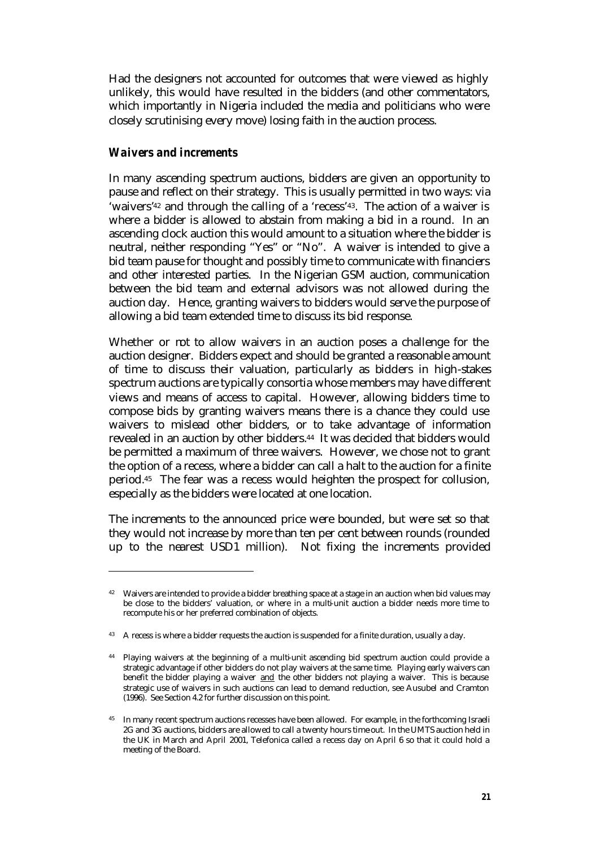Had the designers not accounted for outcomes that were viewed as highly unlikely, this would have resulted in the bidders (and other commentators, which importantly in Nigeria included the media and politicians who were closely scrutinising every move) losing faith in the auction process.

#### *Waivers and increments*

 $\overline{a}$ 

In many ascending spectrum auctions, bidders are given an opportunity to pause and reflect on their strategy. This is usually permitted in two ways: via 'waivers'42 and through the calling of a 'recess'43. The action of a waiver is where a bidder is allowed to abstain from making a bid in a round. In an ascending clock auction this would amount to a situation where the bidder is neutral, neither responding "Yes" or "No". A waiver is intended to give a bid team pause for thought and possibly time to communicate with financiers and other interested parties. In the Nigerian GSM auction, communication between the bid team and external advisors was not allowed during the auction day. Hence, granting waivers to bidders would serve the purpose of allowing a bid team extended time to discuss its bid response.

Whether or mt to allow waivers in an auction poses a challenge for the auction designer. Bidders expect and should be granted a reasonable amount of time to discuss their valuation, particularly as bidders in high-stakes spectrum auctions are typically consortia whose members may have different views and means of access to capital. However, allowing bidders time to compose bids by granting waivers means there is a chance they could use waivers to mislead other bidders, or to take advantage of information revealed in an auction by other bidders.44 It was decided that bidders would be permitted a maximum of three waivers. However, we chose not to grant the option of a recess, where a bidder can call a halt to the auction for a finite period.45 The fear was a recess would heighten the prospect for collusion, especially as the bidders were located at one location.

The increments to the announced price were bounded, but were set so that they would not increase by more than ten per cent between rounds (rounded up to the nearest USD1 million). Not fixing the increments provided

<sup>&</sup>lt;sup>42</sup> Waivers are intended to provide a bidder breathing space at a stage in an auction when bid values may be close to the bidders' valuation, or where in a multi-unit auction a bidder needs more time to recompute his or her preferred combination of objects.

<sup>&</sup>lt;sup>43</sup> A recess is where a bidder requests the auction is suspended for a finite duration, usually a day.

<sup>44</sup> Playing waivers at the beginning of a multi-unit ascending bid spectrum auction could provide a strategic advantage if other bidders do not play waivers at the same time. Playing early waivers can benefit the bidder playing a waiver and the other bidders not playing a waiver. This is because strategic use of waivers in such auctions can lead to demand reduction, see Ausubel and Cramton (1996). See Section 4.2 for further discussion on this point.

<sup>45</sup> In many recent spectrum auctions recesses have been allowed. For example, in the forthcoming Israeli 2G and 3G auctions, bidders are allowed to call a twenty hours time-out. In the UMTS auction held in the UK in March and April 2001, Telefonica called a recess day on April 6 so that it could hold a meeting of the Board.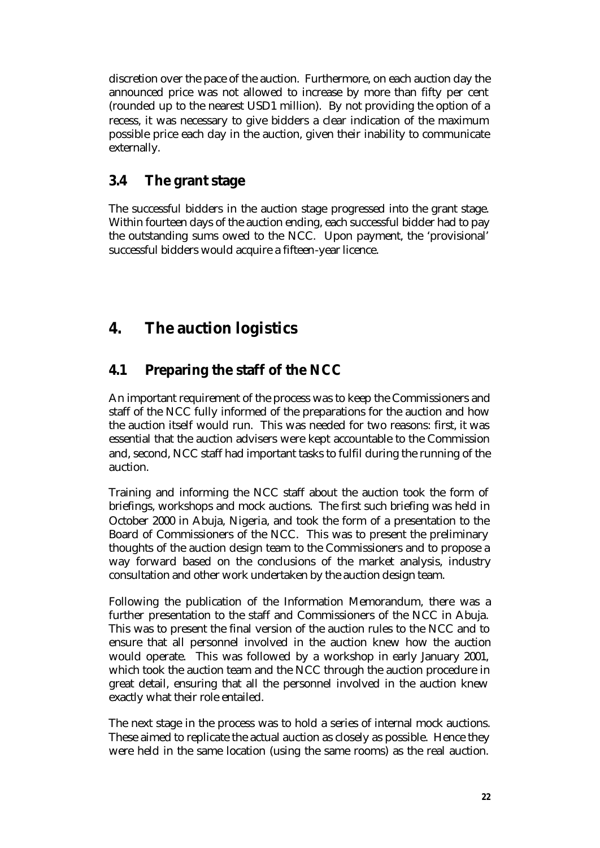discretion over the pace of the auction. Furthermore, on each auction day the announced price was not allowed to increase by more than fifty per cent (rounded up to the nearest USD1 million). By not providing the option of a recess, it was necessary to give bidders a clear indication of the maximum possible price each day in the auction, given their inability to communicate externally.

## **3.4 The grant stage**

The successful bidders in the auction stage progressed into the grant stage. Within fourteen days of the auction ending, each successful bidder had to pay the outstanding sums owed to the NCC. Upon payment, the 'provisional' successful bidders would acquire a fifteen-year licence.

# **4. The auction logistics**

## **4.1 Preparing the staff of the NCC**

An important requirement of the process was to keep the Commissioners and staff of the NCC fully informed of the preparations for the auction and how the auction itself would run. This was needed for two reasons: first, it was essential that the auction advisers were kept accountable to the Commission and, second, NCC staff had important tasks to fulfil during the running of the auction.

Training and informing the NCC staff about the auction took the form of briefings, workshops and mock auctions. The first such briefing was held in October 2000 in Abuja, Nigeria, and took the form of a presentation to the Board of Commissioners of the NCC. This was to present the preliminary thoughts of the auction design team to the Commissioners and to propose a way forward based on the conclusions of the market analysis, industry consultation and other work undertaken by the auction design team.

Following the publication of the Information Memorandum, there was a further presentation to the staff and Commissioners of the NCC in Abuja. This was to present the final version of the auction rules to the NCC and to ensure that all personnel involved in the auction knew how the auction would operate. This was followed by a workshop in early January 2001, which took the auction team and the NCC through the auction procedure in great detail, ensuring that all the personnel involved in the auction knew exactly what their role entailed.

The next stage in the process was to hold a series of internal mock auctions. These aimed to replicate the actual auction as closely as possible. Hence they were held in the same location (using the same rooms) as the real auction.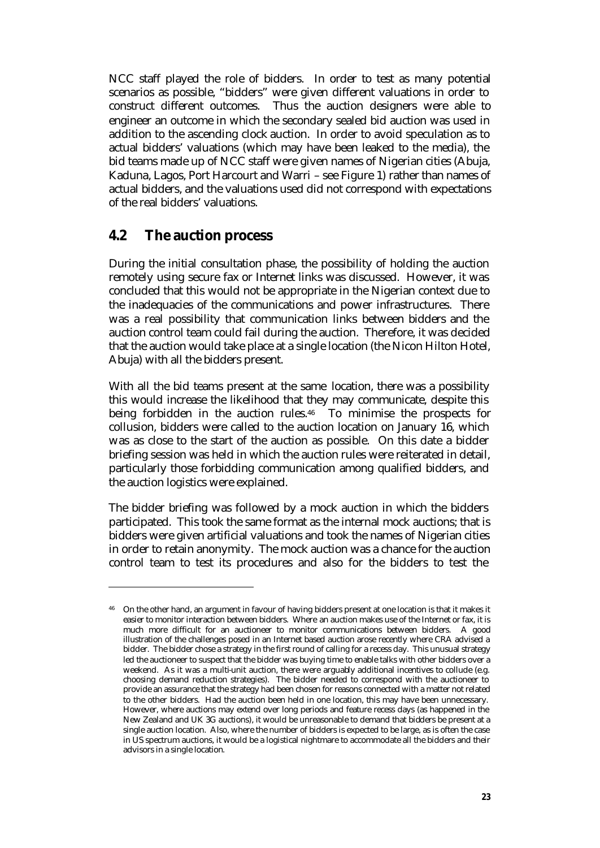NCC staff played the role of bidders. In order to test as many potential scenarios as possible, "bidders" were given different valuations in order to construct different outcomes. Thus the auction designers were able to engineer an outcome in which the secondary sealed bid auction was used in addition to the ascending clock auction. In order to avoid speculation as to actual bidders' valuations (which may have been leaked to the media), the bid teams made up of NCC staff were given names of Nigerian cities (Abuja, Kaduna, Lagos, Port Harcourt and Warri – see Figure 1) rather than names of actual bidders, and the valuations used did not correspond with expectations of the real bidders' valuations.

### **4.2 The auction process**

 $\overline{a}$ 

During the initial consultation phase, the possibility of holding the auction remotely using secure fax or Internet links was discussed. However, it was concluded that this would not be appropriate in the Nigerian context due to the inadequacies of the communications and power infrastructures. There was a real possibility that communication links between bidders and the auction control team could fail during the auction. Therefore, it was decided that the auction would take place at a single location (the Nicon Hilton Hotel, Abuja) with all the bidders present.

With all the bid teams present at the same location, there was a possibility this would increase the likelihood that they may communicate, despite this being forbidden in the auction rules.46 To minimise the prospects for collusion, bidders were called to the auction location on January 16, which was as close to the start of the auction as possible. On this date a bidder briefing session was held in which the auction rules were reiterated in detail, particularly those forbidding communication among qualified bidders, and the auction logistics were explained.

The bidder briefing was followed by a mock auction in which the bidders participated. This took the same format as the internal mock auctions; that is bidders were given artificial valuations and took the names of Nigerian cities in order to retain anonymity. The mock auction was a chance for the auction control team to test its procedures and also for the bidders to test the

<sup>&</sup>lt;sup>46</sup> On the other hand, an argument in favour of having bidders present at one location is that it makes it easier to monitor interaction between bidders. Where an auction makes use of the Internet or fax, it is much more difficult for an auctioneer to monitor communications between bidders. A good illustration of the challenges posed in an Internet based auction arose recently where CRA advised a bidder. The bidder chose a strategy in the first round of calling for a recess day. This unusual strategy led the auctioneer to suspect that the bidder was buying time to enable talks with other bidders over a weekend. As it was a multi-unit auction, there were arguably additional incentives to collude (e.g. choosing demand reduction strategies). The bidder needed to correspond with the auctioneer to provide an assurance that the strategy had been chosen for reasons connected with a matter not related to the other bidders. Had the auction been held in one location, this may have been unnecessary. However, where auctions may extend over long periods and feature recess days (as happened in the New Zealand and UK 3G auctions), it would be unreasonable to demand that bidders be present at a single auction location. Also, where the number of bidders is expected to be large, as is often the case in US spectrum auctions, it would be a logistical nightmare to accommodate all the bidders and their advisors in a single location.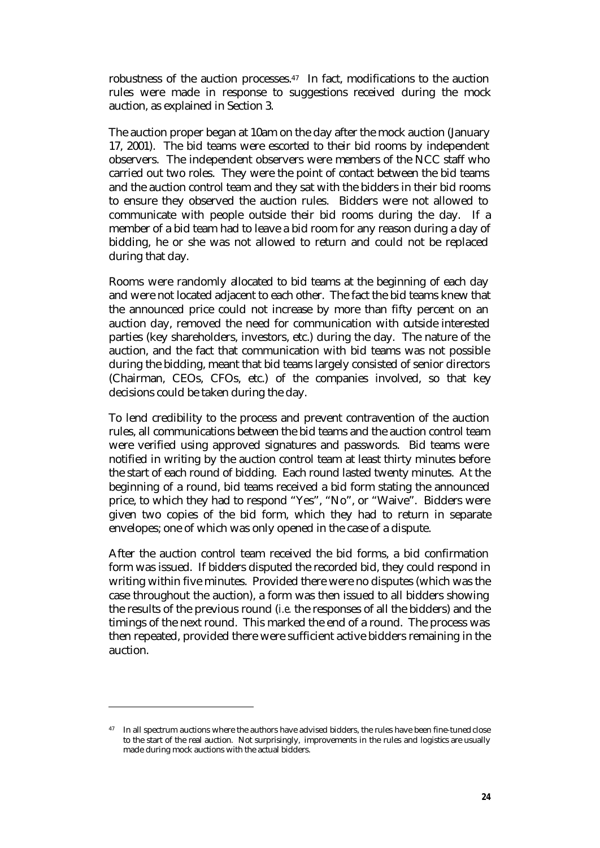robustness of the auction processes.47 In fact, modifications to the auction rules were made in response to suggestions received during the mock auction, as explained in Section 3.

The auction proper began at 10am on the day after the mock auction (January 17, 2001). The bid teams were escorted to their bid rooms by independent observers. The independent observers were members of the NCC staff who carried out two roles. They were the point of contact between the bid teams and the auction control team and they sat with the bidders in their bid rooms to ensure they observed the auction rules. Bidders were not allowed to communicate with people outside their bid rooms during the day. If a member of a bid team had to leave a bid room for any reason during a day of bidding, he or she was not allowed to return and could not be replaced during that day.

Rooms were randomly allocated to bid teams at the beginning of each day and were not located adjacent to each other. The fact the bid teams knew that the announced price could not increase by more than fifty percent on an auction day, removed the need for communication with outside interested parties (key shareholders, investors, etc.) during the day. The nature of the auction, and the fact that communication with bid teams was not possible during the bidding, meant that bid teams largely consisted of senior directors (Chairman, CEOs, CFOs, etc.) of the companies involved, so that key decisions could be taken during the day.

To lend credibility to the process and prevent contravention of the auction rules, all communications between the bid teams and the auction control team were verified using approved signatures and passwords. Bid teams were notified in writing by the auction control team at least thirty minutes before the start of each round of bidding. Each round lasted twenty minutes. At the beginning of a round, bid teams received a bid form stating the announced price, to which they had to respond "Yes", "No", or "Waive". Bidders were given two copies of the bid form, which they had to return in separate envelopes; one of which was only opened in the case of a dispute.

After the auction control team received the bid forms, a bid confirmation form was issued. If bidders disputed the recorded bid, they could respond in writing within five minutes. Provided there were no disputes (which was the case throughout the auction), a form was then issued to all bidders showing the results of the previous round (*i.e.* the responses of all the bidders) and the timings of the next round. This marked the end of a round. The process was then repeated, provided there were sufficient active bidders remaining in the auction.

<sup>&</sup>lt;sup>47</sup> In all spectrum auctions where the authors have advised bidders, the rules have been fine-tuned close to the start of the real auction. Not surprisingly, improvements in the rules and logistics are usually made during mock auctions with the actual bidders.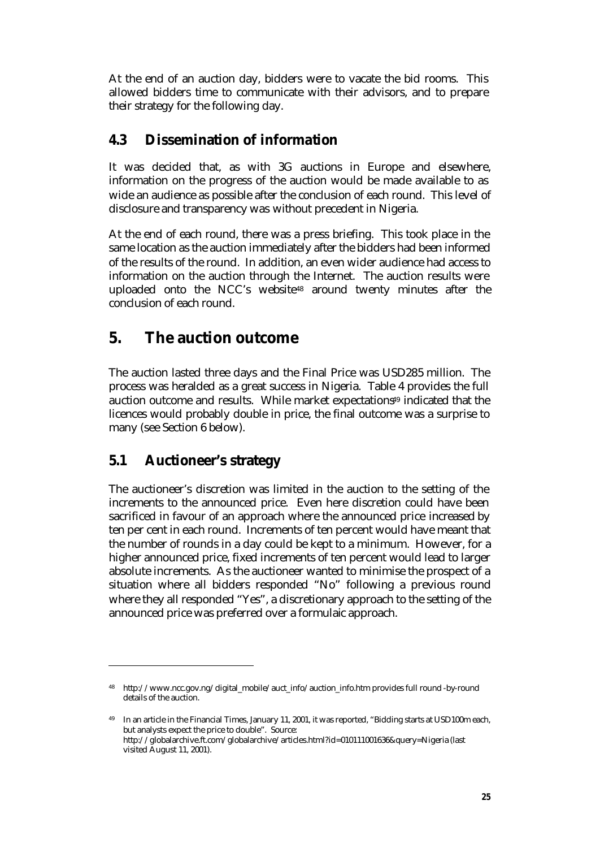At the end of an auction day, bidders were to vacate the bid rooms. This allowed bidders time to communicate with their advisors, and to prepare their strategy for the following day.

### **4.3 Dissemination of information**

It was decided that, as with 3G auctions in Europe and elsewhere, information on the progress of the auction would be made available to as wide an audience as possible after the conclusion of each round. This level of disclosure and transparency was without precedent in Nigeria.

At the end of each round, there was a press briefing. This took place in the same location as the auction immediately after the bidders had been informed of the results of the round. In addition, an even wider audience had access to information on the auction through the Internet. The auction results were uploaded onto the NCC's website48 around twenty minutes after the conclusion of each round.

## **5. The auction outcome**

The auction lasted three days and the Final Price was USD285 million. The process was heralded as a great success in Nigeria. Table 4 provides the full auction outcome and results. While market expectations<sup>49</sup> indicated that the licences would probably double in price, the final outcome was a surprise to many (see Section 6 below).

### **5.1 Auctioneer's strategy**

 $\overline{a}$ 

The auctioneer's discretion was limited in the auction to the setting of the increments to the announced price. Even here discretion could have been sacrificed in favour of an approach where the announced price increased by ten per cent in each round. Increments of ten percent would have meant that the number of rounds in a day could be kept to a minimum. However, for a higher announced price, fixed increments of ten percent would lead to larger absolute increments. As the auctioneer wanted to minimise the prospect of a situation where all bidders responded "No" following a previous round where they all responded "Yes", a discretionary approach to the setting of the announced price was preferred over a formulaic approach.

<sup>48</sup> http://www.ncc.gov.ng/digital\_mobile/auct\_info/auction\_info.htm provides full round -by-round details of the auction.

<sup>49</sup> In an article in the Financial Times, January 11, 2001, it was reported, "Bidding starts at USD100m each, but analysts expect the price to double". Source: http://globalarchive.ft.com/globalarchive/articles.html?id=010111001636&query=Nigeria (last visited August 11, 2001).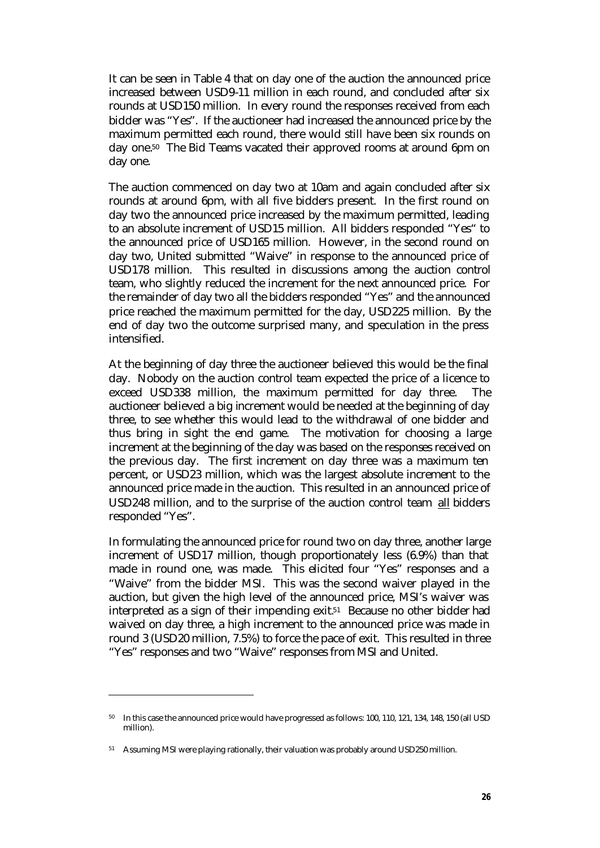It can be seen in Table 4 that on day one of the auction the announced price increased between USD9-11 million in each round, and concluded after six rounds at USD150 million. In every round the responses received from each bidder was "Yes". If the auctioneer had increased the announced price by the maximum permitted each round, there would still have been six rounds on day one.50 The Bid Teams vacated their approved rooms at around 6pm on day one.

The auction commenced on day two at 10am and again concluded after six rounds at around 6pm, with all five bidders present. In the first round on day two the announced price increased by the maximum permitted, leading to an absolute increment of USD15 million. All bidders responded "Yes" to the announced price of USD165 million. However, in the second round on day two, United submitted "Waive" in response to the announced price of USD178 million. This resulted in discussions among the auction control team, who slightly reduced the increment for the next announced price. For the remainder of day two all the bidders responded "Yes" and the announced price reached the maximum permitted for the day, USD225 million. By the end of day two the outcome surprised many, and speculation in the press intensified.

At the beginning of day three the auctioneer believed this would be the final day. Nobody on the auction control team expected the price of a licence to exceed USD338 million, the maximum permitted for day three. The auctioneer believed a big increment would be needed at the beginning of day three, to see whether this would lead to the withdrawal of one bidder and thus bring in sight the end game. The motivation for choosing a large increment at the beginning of the day was based on the responses received on the previous day. The first increment on day three was a maximum ten percent, or USD23 million, which was the largest absolute increment to the announced price made in the auction. This resulted in an announced price of USD248 million, and to the surprise of the auction control team all bidders responded "Yes".

In formulating the announced price for round two on day three, another large increment of USD17 million, though proportionately less (6.9%) than that made in round one, was made. This elicited four "Yes" responses and a "Waive" from the bidder MSI. This was the second waiver played in the auction, but given the high level of the announced price, MSI's waiver was interpreted as a sign of their impending exit.51 Because no other bidder had waived on day three, a high increment to the announced price was made in round 3 (USD20 million, 7.5%) to force the pace of exit. This resulted in three "Yes" responses and two "Waive" responses from MSI and United.

<sup>50</sup> In this case the announced price would have progressed as follows: 100, 110, 121, 134, 148, 150 (all USD million).

<sup>&</sup>lt;sup>51</sup> Assuming MSI were playing rationally, their valuation was probably around USD250 million.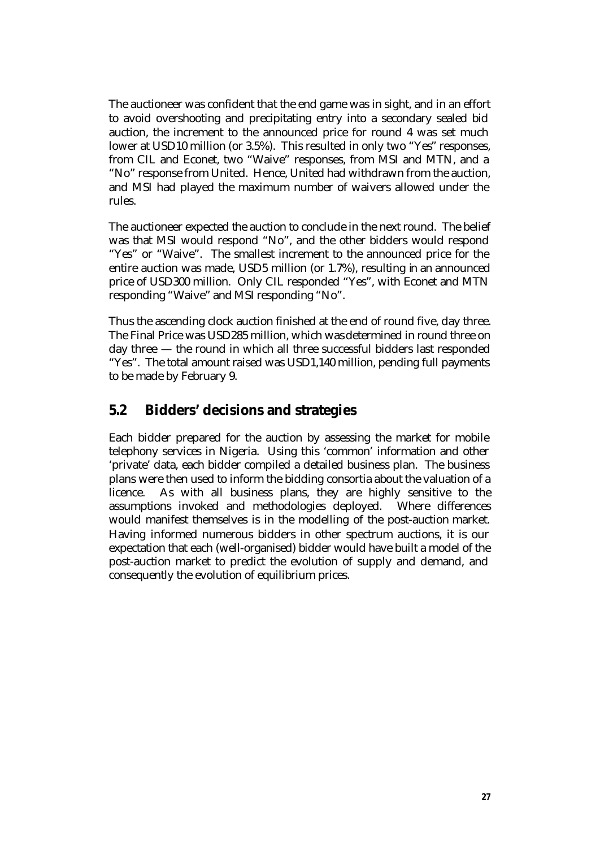The auctioneer was confident that the end game was in sight, and in an effort to avoid overshooting and precipitating entry into a secondary sealed bid auction, the increment to the announced price for round 4 was set much lower at USD10 million (or 3.5%). This resulted in only two "Yes" responses, from CIL and Econet, two "Waive" responses, from MSI and MTN, and a "No" response from United. Hence, United had withdrawn from the auction, and MSI had played the maximum number of waivers allowed under the rules.

The auctioneer expected the auction to conclude in the next round. The belief was that MSI would respond "No", and the other bidders would respond "Yes" or "Waive". The smallest increment to the announced price for the entire auction was made, USD5 million (or 1.7%), resulting in an announced price of USD300 million. Only CIL responded "Yes", with Econet and MTN responding "Waive" and MSI responding "No".

Thus the ascending clock auction finished at the end of round five, day three. The Final Price was USD285 million, which was determined in round three on day three — the round in which all three successful bidders last responded "Yes". The total amount raised was USD1,140 million, pending full payments to be made by February 9.

### **5.2 Bidders' decisions and strategies**

Each bidder prepared for the auction by assessing the market for mobile telephony services in Nigeria. Using this 'common' information and other 'private' data, each bidder compiled a detailed business plan. The business plans were then used to inform the bidding consortia about the valuation of a licence. As with all business plans, they are highly sensitive to the assumptions invoked and methodologies deployed. Where differences would manifest themselves is in the modelling of the post-auction market. Having informed numerous bidders in other spectrum auctions, it is our expectation that each (well-organised) bidder would have built a model of the post-auction market to predict the evolution of supply and demand, and consequently the evolution of equilibrium prices.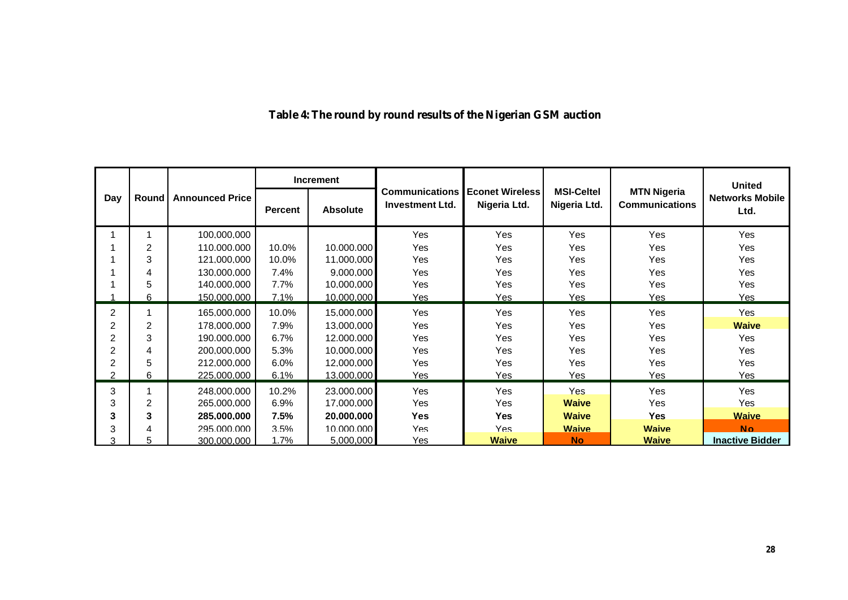|                |                |                        | <b>Increment</b> |                 |                                                 |                                        |                                   |                                             | <b>United</b>                  |
|----------------|----------------|------------------------|------------------|-----------------|-------------------------------------------------|----------------------------------------|-----------------------------------|---------------------------------------------|--------------------------------|
| Day            | Round          | <b>Announced Price</b> | <b>Percent</b>   | <b>Absolute</b> | <b>Communications</b><br><b>Investment Ltd.</b> | <b>Econet Wireless</b><br>Nigeria Ltd. | <b>MSI-Celtel</b><br>Nigeria Ltd. | <b>MTN Nigeria</b><br><b>Communications</b> | <b>Networks Mobile</b><br>Ltd. |
|                |                | 100.000.000            |                  |                 | Yes                                             | Yes                                    | <b>Yes</b>                        | <b>Yes</b>                                  | <b>Yes</b>                     |
|                | 2              | 110.000.000            | 10.0%            | 10.000.000      | <b>Yes</b>                                      | Yes                                    | Yes                               | <b>Yes</b>                                  | Yes                            |
|                | 3              | 121.000.000            | 10.0%            | 11.000.000      | <b>Yes</b>                                      | Yes                                    | Yes                               | <b>Yes</b>                                  | Yes                            |
|                | 4              | 130.000.000            | 7.4%             | 9.000.000       | Yes                                             | Yes                                    | <b>Yes</b>                        | <b>Yes</b>                                  | Yes                            |
|                | 5              | 140.000.000            | 7.7%             | 10.000.000      | Yes                                             | Yes                                    | <b>Yes</b>                        | Yes                                         | Yes                            |
|                | 6              | 150.000.000            | 7.1%             | 10.000.000      | Yes                                             | Yes                                    | <u>Yes</u>                        | Yes                                         | Yes                            |
| 2              |                | 165.000.000            | 10.0%            | 15.000.000      | Yes                                             | Yes                                    | Yes                               | Yes                                         | Yes                            |
| $\overline{2}$ | 2              | 178.000.000            | 7.9%             | 13.000.000      | Yes                                             | Yes                                    | <b>Yes</b>                        | <b>Yes</b>                                  | <b>Waive</b>                   |
| 2              | 3              | 190.000.000            | 6.7%             | 12.000.000      | <b>Yes</b>                                      | Yes                                    | Yes                               | Yes.                                        | <b>Yes</b>                     |
| 2              | 4              | 200.000.000            | 5.3%             | 10.000.000      | Yes                                             | Yes                                    | <b>Yes</b>                        | <b>Yes</b>                                  | Yes                            |
| 2              | 5              | 212.000.000            | 6.0%             | 12.000.000      | Yes                                             | Yes                                    | Yes                               | Yes                                         | Yes                            |
| $\overline{2}$ | 6              | 225.000.000            | 6.1%             | 13.000.000      | <u>Yes</u>                                      | <u>Yes</u>                             | <b>Yes</b>                        | Yes                                         | <u>Yes</u>                     |
| 3              |                | 248.000.000            | 10.2%            | 23.000.000      | Yes                                             | Yes                                    | <b>Yes</b>                        | <b>Yes</b>                                  | Yes                            |
| 3              | $\overline{2}$ | 265.000.000            | 6.9%             | 17.000.000      | Yes                                             | Yes                                    | <b>Waive</b>                      | <b>Yes</b>                                  | Yes                            |
| 3              | 3              | 285.000.000            | 7.5%             | 20.000.000      | <b>Yes</b>                                      | <b>Yes</b>                             | <b>Waive</b>                      | <b>Yes</b>                                  | <b>Waive</b>                   |
| 3              | 4              | 295.000.000            | 3.5%             | 10.000.000      | Yes                                             | <b>Yes</b>                             | <b>Waive</b>                      | <b>Waive</b>                                | <b>No</b>                      |
| ٩              |                | 300.000.000            | 1.7%             | 5,000,000       | Yes                                             | <b>Waive</b>                           | <b>No</b>                         | <b>Waive</b>                                | <b>Inactive Bidder</b>         |

## **Table 4: The round by round results of the Nigerian GSM auction**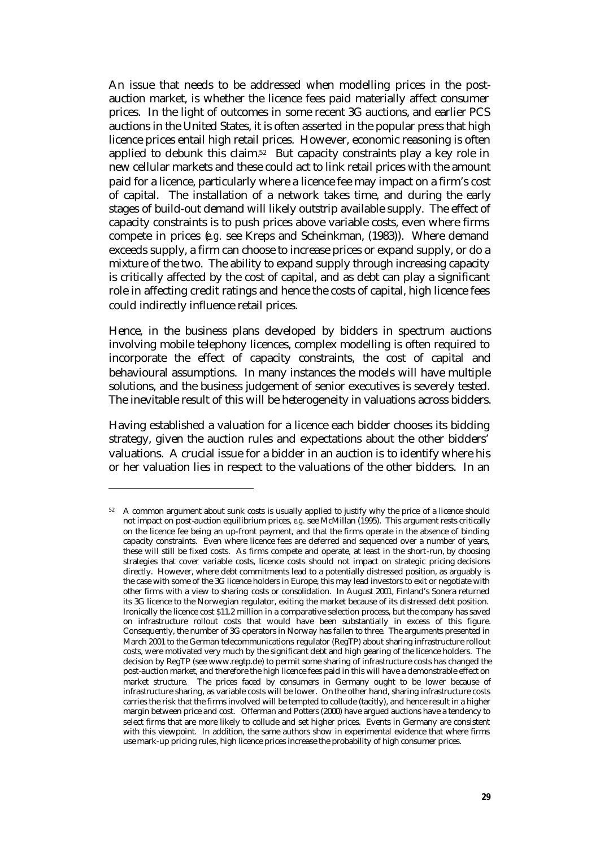An issue that needs to be addressed when modelling prices in the postauction market, is whether the licence fees paid materially affect consumer prices. In the light of outcomes in some recent 3G auctions, and earlier PCS auctions in the United States, it is often asserted in the popular press that high licence prices entail high retail prices. However, economic reasoning is often applied to debunk this claim.52 But capacity constraints play a key role in new cellular markets and these could act to link retail prices with the amount paid for a licence, particularly where a licence fee may impact on a firm's cost of capital. The installation of a network takes time, and during the early stages of build-out demand will likely outstrip available supply. The effect of capacity constraints is to push prices above variable costs, even where firms compete in prices (*e.g.* see Kreps and Scheinkman, (1983)). Where demand exceeds supply, a firm can choose to increase prices or expand supply, or do a mixture of the two. The ability to expand supply through increasing capacity is critically affected by the cost of capital, and as debt can play a significant role in affecting credit ratings and hence the costs of capital, high licence fees could indirectly influence retail prices.

Hence, in the business plans developed by bidders in spectrum auctions involving mobile telephony licences, complex modelling is often required to incorporate the effect of capacity constraints, the cost of capital and behavioural assumptions. In many instances the models will have multiple solutions, and the business judgement of senior executives is severely tested. The inevitable result of this will be heterogeneity in valuations across bidders.

Having established a valuation for a licence each bidder chooses its bidding strategy, given the auction rules and expectations about the other bidders' valuations. A crucial issue for a bidder in an auction is to identify where his or her valuation lies in respect to the valuations of the other bidders. In an

<sup>&</sup>lt;sup>52</sup> A common argument about sunk costs is usually applied to justify why the price of a licence should not impact on post-auction equilibrium prices, *e.g.* see McMillan (1995). This argument rests critically on the licence fee being an up-front payment, and that the firms operate in the absence of binding capacity constraints. Even where licence fees are deferred and sequenced over a number of years, these will still be fixed costs. As firms compete and operate, at least in the short-run, by choosing strategies that cover variable costs, licence costs should not impact on strategic pricing decisions directly. However, where debt commitments lead to a potentially distressed position, as arguably is the case with some of the 3G licence holders in Europe, this may lead investors to exit or negotiate with other firms with a view to sharing costs or consolidation. In August 2001, Finland's Sonera returned its 3G licence to the Norwegian regulator, exiting the market because of its distressed debt position. Ironically the licence cost \$11.2 million in a comparative selection process, but the company has saved on infrastructure rollout costs that would have been substantially in excess of this figure. Consequently, the number of 3G operators in Norway has fallen to three. The arguments presented in March 2001 to the German telecommunications regulator (RegTP) about sharing infrastructure rollout costs, were motivated very much by the significant debt and high gearing of the licence holders. The decision by RegTP (see www.regtp.de) to permit some sharing of infrastructure costs has changed the post-auction market, and therefore the high licence fees paid in this will have a demonstrable effect on market structure. The prices faced by consumers in Germany ought to be lower because of infrastructure sharing, as variable costs will be lower. On the other hand, sharing infrastructure costs carries the risk that the firms involved will be tempted to collude (tacitly), and hence result in a higher margin between price and cost. Offerman and Potters (2000) have argued auctions have a tendency to select firms that are more likely to collude and set higher prices. Events in Germany are consistent with this viewpoint. In addition, the same authors show in experimental evidence that where firms use mark-up pricing rules, high licence prices increase the probability of high consumer prices.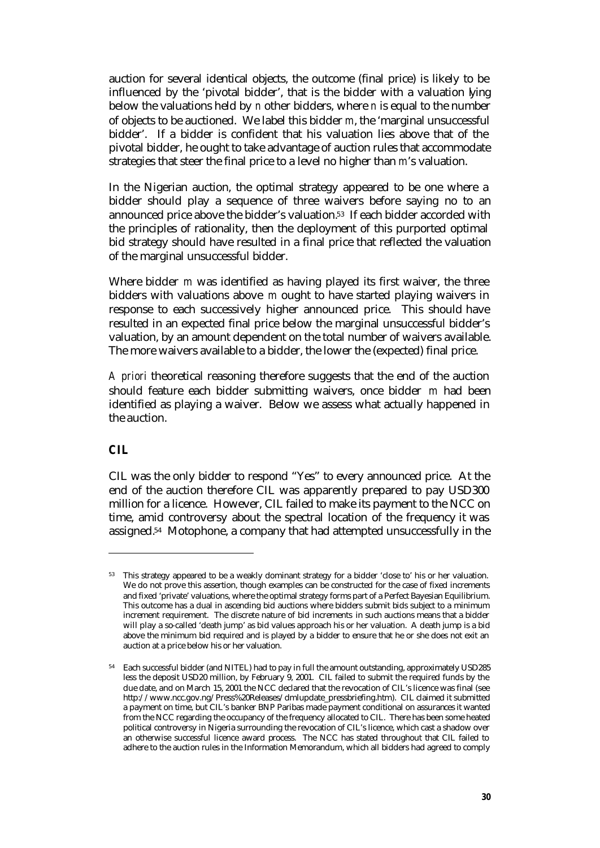auction for several identical objects, the outcome (final price) is likely to be influenced by the 'pivotal bidder', that is the bidder with a valuation lying below the valuations held by *n* other bidders, where *n* is equal to the number of objects to be auctioned. We label this bidder *m*, the 'marginal unsuccessful bidder'. If a bidder is confident that his valuation lies above that of the pivotal bidder, he ought to take advantage of auction rules that accommodate strategies that steer the final price to a level no higher than *m*'s valuation.

In the Nigerian auction, the optimal strategy appeared to be one where a bidder should play a sequence of three waivers before saying no to an announced price above the bidder's valuation.53 If each bidder accorded with the principles of rationality, then the deployment of this purported optimal bid strategy should have resulted in a final price that reflected the valuation of the marginal unsuccessful bidder.

Where bidder *m* was identified as having played its first waiver, the three bidders with valuations above *m* ought to have started playing waivers in response to each successively higher announced price. This should have resulted in an expected final price below the marginal unsuccessful bidder's valuation, by an amount dependent on the total number of waivers available. The more waivers available to a bidder, the lower the (expected) final price.

*A priori* theoretical reasoning therefore suggests that the end of the auction should feature each bidder submitting waivers, once bidder *m* had been identified as playing a waiver. Below we assess what actually happened in the auction.

### *CIL*

 $\overline{a}$ 

CIL was the only bidder to respond "Yes" to every announced price. At the end of the auction therefore CIL was apparently prepared to pay USD300 million for a licence. However, CIL failed to make its payment to the NCC on time, amid controversy about the spectral location of the frequency it was assigned.54 Motophone, a company that had attempted unsuccessfully in the

<sup>53</sup> This strategy appeared to be a weakly dominant strategy for a bidder 'close to' his or her valuation. We do not prove this assertion, though examples can be constructed for the case of fixed increments and fixed 'private' valuations, where the optimal strategy forms part of a Perfect Bayesian Equilibrium. This outcome has a dual in ascending bid auctions where bidders submit bids subject to a minimum increment requirement. The discrete nature of bid increments in such auctions means that a bidder will play a so-called 'death jump' as bid values approach his or her valuation. A death jump is a bid above the minimum bid required and is played by a bidder to ensure that he or she does not exit an auction at a price below his or her valuation.

<sup>54</sup> Each successful bidder (and NITEL) had to pay in full the amount outstanding, approximately USD285 less the deposit USD20 million, by February 9, 2001. CIL failed to submit the required funds by the due date, and on March 15, 2001 the NCC declared that the revocation of CIL's licence was final (see http://www.ncc.gov.ng/Press%20Releases/dmlupdate\_pressbriefing.htm). CIL claimed it submitted a payment on time, but CIL's banker BNP Paribas made payment conditional on assurances it wanted from the NCC regarding the occupancy of the frequency allocated to CIL. There has been some heated political controversy in Nigeria surrounding the revocation of CIL's licence, which cast a shadow over an otherwise successful licence award process. The NCC has stated throughout that CIL failed to adhere to the auction rules in the Information Memorandum, which all bidders had agreed to comply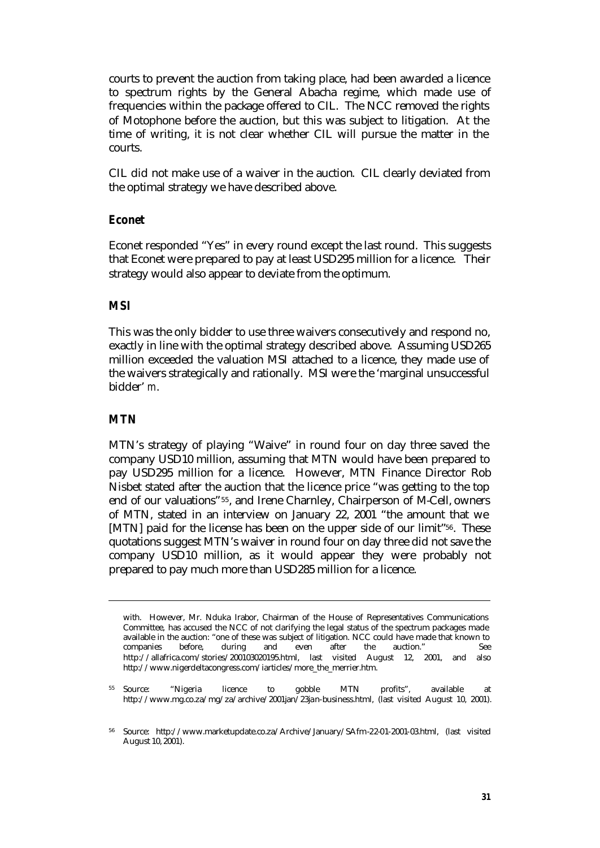courts to prevent the auction from taking place, had been awarded a licence to spectrum rights by the General Abacha regime, which made use of frequencies within the package offered to CIL. The NCC removed the rights of Motophone before the auction, but this was subject to litigation. At the time of writing, it is not clear whether CIL will pursue the matter in the courts.

CIL did not make use of a waiver in the auction. CIL clearly deviated from the optimal strategy we have described above.

#### *Econet*

Econet responded "Yes" in every round except the last round. This suggests that Econet were prepared to pay at least USD295 million for a licence. Their strategy would also appear to deviate from the optimum.

#### *MSI*

This was the only bidder to use three waivers consecutively and respond no, exactly in line with the optimal strategy described above. Assuming USD265 million exceeded the valuation MSI attached to a licence, they made use of the waivers strategically and rationally. MSI were the 'marginal unsuccessful bidder' *m*.

#### *MTN*

 $\overline{a}$ 

MTN's strategy of playing "Waive" in round four on day three saved the company USD10 million, assuming that MTN would have been prepared to pay USD295 million for a licence. However, MTN Finance Director Rob Nisbet stated after the auction that the licence price "was getting to the top end of our valuations"55, and Irene Charnley, Chairperson of M-Cell, owners of MTN, stated in an interview on January 22, 2001 "the amount that we [MTN] paid for the license has been on the upper side of our limit"56. These quotations suggest MTN's waiver in round four on day three did not save the company USD10 million, as it would appear they were probably not prepared to pay much more than USD285 million for a licence.

with. However, Mr. Nduka Irabor, Chairman of the House of Representatives Communications Committee, has accused the NCC of not clarifying the legal status of the spectrum packages made available in the auction: "one of these was subject of litigation. NCC could have made that known to companies before, during and even after the auction." See http://allafrica.com/stories/200103020195.html, last visited August 12, 2001, and also http://www.nigerdeltacongress.com/iarticles/more\_the\_merrier.htm.

<sup>55</sup> Source: "Nigeria licence to gobble MTN profits", available at http://www.mg.co.za/mg/za/archive/2001jan/23jan-business.html, (last visited August 10, 2001).

<sup>56</sup> Source: http://www.marketupdate.co.za/Archive/January/SAfm-22-01-2001-03.html, (last visited August 10, 2001).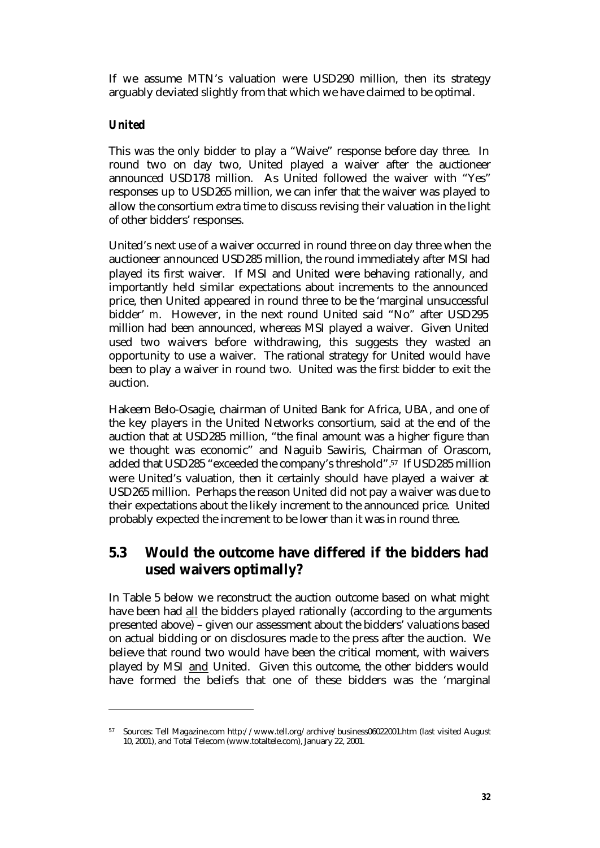If we assume MTN's valuation were USD290 million, then its strategy arguably deviated slightly from that which we have claimed to be optimal.

### *United*

 $\overline{a}$ 

This was the only bidder to play a "Waive" response before day three. In round two on day two, United played a waiver after the auctioneer announced USD178 million. As United followed the waiver with "Yes" responses up to USD265 million, we can infer that the waiver was played to allow the consortium extra time to discuss revising their valuation in the light of other bidders' responses.

United's next use of a waiver occurred in round three on day three when the auctioneer announced USD285 million, the round immediately after MSI had played its first waiver. If MSI and United were behaving rationally, and importantly held similar expectations about increments to the announced price, then United appeared in round three to be the 'marginal unsuccessful bidder' *m*. However, in the next round United said "No" after USD295 million had been announced, whereas MSI played a waiver. Given United used two waivers before withdrawing, this suggests they wasted an opportunity to use a waiver. The rational strategy for United would have been to play a waiver in round two. United was the first bidder to exit the auction.

Hakeem Belo-Osagie, chairman of United Bank for Africa, UBA, and one of the key players in the United Networks consortium, said at the end of the auction that at USD285 million, "the final amount was a higher figure than we thought was economic" and Naguib Sawiris, Chairman of Orascom, added that USD285 "exceeded the company's threshold".57 If USD285 million were United's valuation, then it certainly should have played a waiver at USD265 million. Perhaps the reason United did not pay a waiver was due to their expectations about the likely increment to the announced price. United probably expected the increment to be lower than it was in round three.

### **5.3 Would the outcome have differed if the bidders had used waivers optimally?**

In Table 5 below we reconstruct the auction outcome based on what might have been had all the bidders played rationally (according to the arguments presented above) – given our assessment about the bidders' valuations based on actual bidding or on disclosures made to the press after the auction. We believe that round two would have been the critical moment, with waivers played by MSI and United. Given this outcome, the other bidders would have formed the beliefs that one of these bidders was the 'marginal

<sup>57</sup> Sources: Tell Magazine.com http://www.tell.org/archive/business06022001.htm (last visited August 10, 2001), and Total Telecom (www.totaltele.com), January 22, 2001.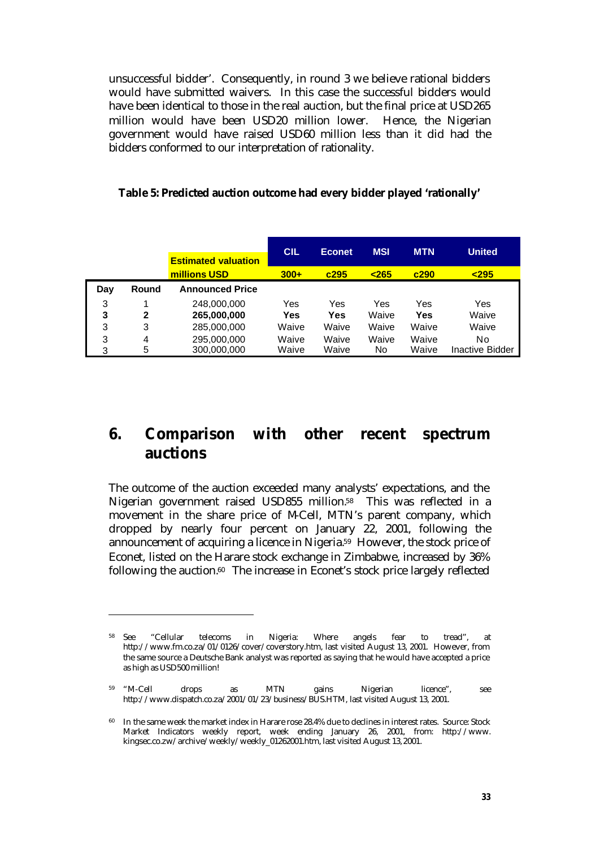unsuccessful bidder'. Consequently, in round 3 we believe rational bidders would have submitted waivers. In this case the successful bidders would have been identical to those in the real auction, but the final price at USD265 million would have been USD20 million lower. Hence, the Nigerian government would have raised USD60 million less than it did had the bidders conformed to our interpretation of rationality.

|     |              | <b>Estimated valuation</b> | <b>CIL</b> | <b>Econet</b> | <b>MSI</b> | <b>MTN</b> | <b>United</b> |
|-----|--------------|----------------------------|------------|---------------|------------|------------|---------------|
|     |              | millions USD               | $300+$     | c295          | $265$      | c290       | 295           |
| Day | Round        | <b>Announced Price</b>     |            |               |            |            |               |
| 3   |              | 248,000,000                | Yes        | Yes           | Yes        | Yes        | Yes           |
| 3   | $\mathbf{2}$ | 265,000,000                | Yes        | Yes           | Waive      | Yes        | Waive         |
| 3   | 3            | 285,000,000                | Waive      | Waive         | Waive      | Waive      | Waive         |
| 3   | 4            | 295,000,000                | Waive      | Waive         | Waive      | Waive      | No            |

3 5 300,000,000 Waive Waive No Waive Inactive Bidder

#### **Table 5: Predicted auction outcome had every bidder played 'rationally'**

## **6. Comparison with other recent spectrum auctions**

The outcome of the auction exceeded many analysts' expectations, and the Nigerian government raised USD855 million.<sup>58</sup> This was reflected in a movement in the share price of M-Cell, MTN's parent company, which dropped by nearly four percent on January 22, 2001, following the announcement of acquiring a licence in Nigeria.59 However, the stock price of Econet, listed on the Harare stock exchange in Zimbabwe, increased by 36% following the auction.60 The increase in Econet's stock price largely reflected

<sup>58</sup> See "Cellular telecoms in Nigeria: Where angels fear to tread", at http://www.fm.co.za/01/0126/cover/coverstory.htm, last visited August 13, 2001. However, from the same source a Deutsche Bank analyst was reported as saying that he would have accepted a price as high as USD500 million!

<sup>59</sup> "M-Cell drops as MTN gains Nigerian licence", see http://www.dispatch.co.za/2001/01/23/business/BUS.HTM, last visited August 13, 2001.

<sup>60</sup> In the same week the market index in Harare rose 28.4% due to declines in interest rates. Source: Stock Market Indicators weekly report, week ending January 26, 2001, from: http://www. kingsec.co.zw/archive/weekly/weekly\_01262001.htm, last visited August 13, 2001.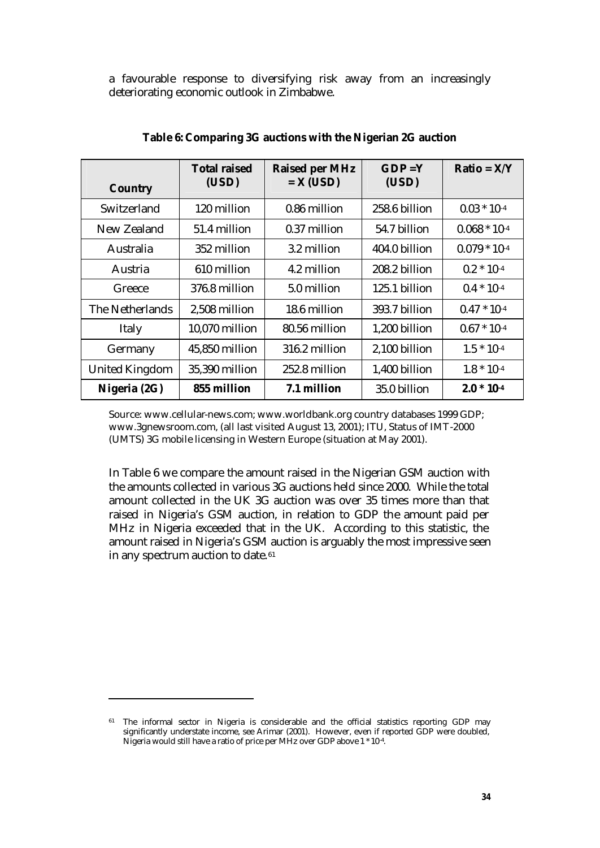a favourable response to diversifying risk away from an increasingly deteriorating economic outlook in Zimbabwe.

| <b>Country</b>        | <b>Total raised</b><br>(USD) | <b>Raised per MHz</b><br>$= X (USD)$ | $GDP = Y$<br>(USD) | $Ratio = X/Y$     |
|-----------------------|------------------------------|--------------------------------------|--------------------|-------------------|
| Switzerland           | 120 million                  | 0.86 million                         | 258.6 billion      | $0.03 * 10^{-4}$  |
| New Zealand           | 51.4 million                 | 0.37 million                         | 54.7 billion       | $0.068 * 10^{-4}$ |
| Australia             | 352 million                  | 3.2 million                          | 404.0 billion      | $0.079 * 10^{-4}$ |
| Austria               | 610 million                  | 4.2 million                          | 208.2 billion      | $0.2 * 10^{-4}$   |
| Greece                | 376.8 million                | 5.0 million                          | 125.1 billion      | $0.4 * 10^{-4}$   |
| The Netherlands       | 2,508 million                | 18.6 million                         | 393.7 billion      | $0.47 * 10^{-4}$  |
| Italy                 | 10,070 million               | 80.56 million                        | 1,200 billion      | $0.67 * 10^{-4}$  |
| Germany               | 45,850 million               | 316.2 million                        | 2,100 billion      | $1.5 * 10^{-4}$   |
| <b>United Kingdom</b> | 35,390 million               | 252.8 million                        | 1,400 billion      | $1.8 * 10^{-4}$   |
| Nigeria (2G)          | 855 million                  | 7.1 million                          | 35.0 billion       | $2.0 * 10-4$      |

**Table 6: Comparing 3G auctions with the Nigerian 2G auction**

Source: www.cellular-news.com; www.worldbank.org country databases 1999 GDP; www.3gnewsroom.com, (all last visited August 13, 2001); ITU, Status of IMT-2000 (UMTS) 3G mobile licensing in Western Europe (situation at May 2001).

In Table 6 we compare the amount raised in the Nigerian GSM auction with the amounts collected in various 3G auctions held since 2000. While the total amount collected in the UK 3G auction was over 35 times more than that raised in Nigeria's GSM auction, in relation to GDP the amount paid per MHz in Nigeria exceeded that in the UK. According to this statistic, the amount raised in Nigeria's GSM auction is arguably the most impressive seen in any spectrum auction to date.<sup>61</sup>

<sup>&</sup>lt;sup>61</sup> The informal sector in Nigeria is considerable and the official statistics reporting GDP may significantly understate income, see Arimar (2001). However, even if reported GDP were doubled, Nigeria would still have a ratio of price per MHz over GDP above 1 \* 10-4 .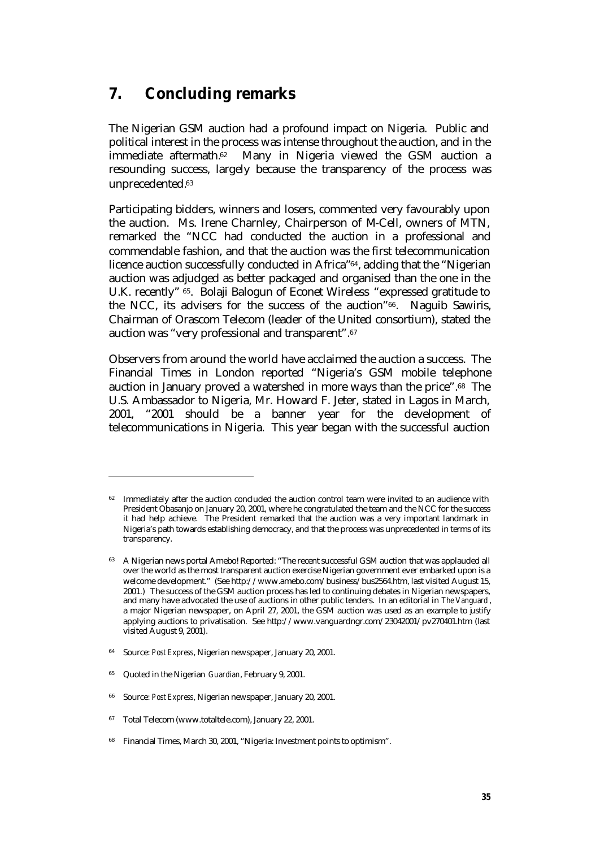## **7. Concluding remarks**

The Nigerian GSM auction had a profound impact on Nigeria. Public and political interest in the process was intense throughout the auction, and in the immediate aftermath.62 Many in Nigeria viewed the GSM auction a resounding success, largely because the transparency of the process was unprecedented.<sup>63</sup>

Participating bidders, winners and losers, commented very favourably upon the auction. Ms. Irene Charnley, Chairperson of M-Cell, owners of MTN, remarked the "NCC had conducted the auction in a professional and commendable fashion, and that the auction was the first telecommunication licence auction successfully conducted in Africa"64, adding that the "Nigerian auction was adjudged as better packaged and organised than the one in the U.K. recently" <sup>65</sup>. Bolaji Balogun of Econet Wireless "expressed gratitude to the NCC, its advisers for the success of the auction"66. Naguib Sawiris, Chairman of Orascom Telecom (leader of the United consortium), stated the auction was "very professional and transparent".<sup>67</sup>

Observers from around the world have acclaimed the auction a success. The Financial Times in London reported "Nigeria's GSM mobile telephone auction in January proved a watershed in more ways than the price".68 The U.S. Ambassador to Nigeria, Mr. Howard F. Jeter, stated in Lagos in March, 2001, "2001 should be a banner year for the development of telecommunications in Nigeria. This year began with the successful auction

- <sup>64</sup> Source: *Post Express*, Nigerian newspaper, January 20, 2001.
- <sup>65</sup> Quoted in the Nigerian *Guardian*, February 9, 2001.

- <sup>66</sup> Source: *Post Express*, Nigerian newspaper, January 20, 2001.
- <sup>67</sup> Total Telecom (www.totaltele.com), January 22, 2001.
- <sup>68</sup> Financial Times, March 30, 2001, "Nigeria: Investment points to optimism".

<sup>&</sup>lt;sup>62</sup> Immediately after the auction concluded the auction control team were invited to an audience with President Obasanjo on January 20, 2001, where he congratulated the team and the NCC for the success it had help achieve. The President remarked that the auction was a very important landmark in Nigeria's path towards establishing democracy, and that the process was unprecedented in terms of its transparency.

<sup>&</sup>lt;sup>63</sup> A Nigerian news portal Amebo! Reported: "The recent successful GSM auction that was applauded all over the world as the most transparent auction exercise Nigerian government ever embarked upon is a welcome development." (See http://www.amebo.com/business/bus2564.htm, last visited August 15, 2001.) The success of the GSM auction process has led to continuing debates in Nigerian newspapers, and many have advocated the use of auctions in other public tenders. In an editorial in *The Vanguard* , a major Nigerian newspaper, on April 27, 2001, the GSM auction was used as an example to justify applying auctions to privatisation. See http://www.vanguardngr.com/23042001/pv270401.htm (last visited August 9, 2001).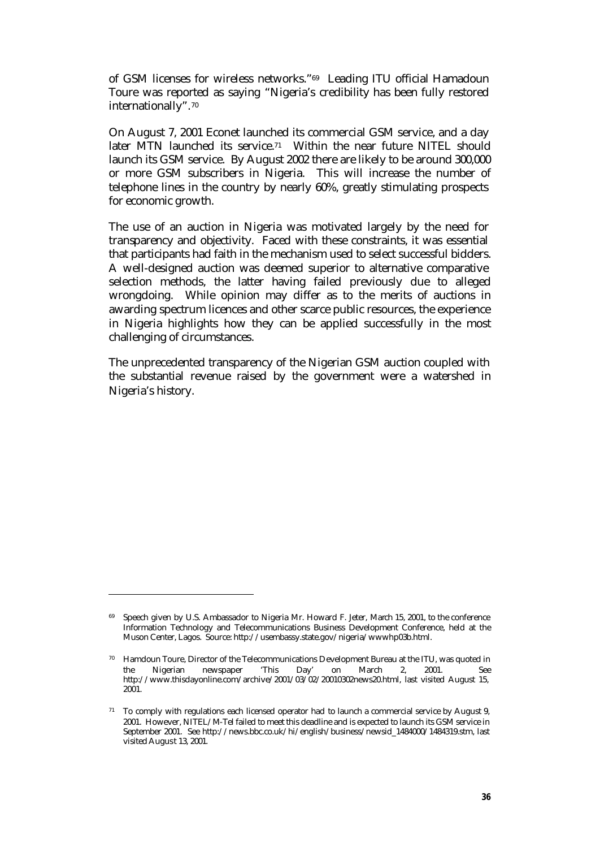of GSM licenses for wireless networks."69 Leading ITU official Hamadoun Toure was reported as saying "Nigeria's credibility has been fully restored internationally".<sup>70</sup>

On August 7, 2001 Econet launched its commercial GSM service, and a day later MTN launched its service.<sup>71</sup> Within the near future NITEL should launch its GSM service. By August 2002 there are likely to be around 300,000 or more GSM subscribers in Nigeria. This will increase the number of telephone lines in the country by nearly 60%, greatly stimulating prospects for economic growth.

The use of an auction in Nigeria was motivated largely by the need for transparency and objectivity. Faced with these constraints, it was essential that participants had faith in the mechanism used to select successful bidders. A well-designed auction was deemed superior to alternative comparative selection methods, the latter having failed previously due to alleged wrongdoing. While opinion may differ as to the merits of auctions in awarding spectrum licences and other scarce public resources, the experience in Nigeria highlights how they can be applied successfully in the most challenging of circumstances.

The unprecedented transparency of the Nigerian GSM auction coupled with the substantial revenue raised by the government were a watershed in Nigeria's history.

<sup>&</sup>lt;sup>69</sup> Speech given by U.S. Ambassador to Nigeria Mr. Howard F. Jeter, March 15, 2001, to the conference Information Technology and Telecommunications Business Development Conference, held at the Muson Center, Lagos. Source: http://usembassy.state.gov/nigeria/wwwhp03b.html.

<sup>70</sup> Hamdoun Toure, Director of the Telecommunications Development Bureau at the ITU, was quoted in the Nigerian newspaper 'This Day' on March 2, 2001. See http://www.thisdayonline.com/archive/2001/03/02/20010302news20.html, last visited August 15, 2001.

<sup>&</sup>lt;sup>71</sup> To comply with regulations each licensed operator had to launch a commercial service by August 9, 2001. However, NITEL/M-Tel failed to meet this deadline and is expected to launch its GSM service in September 2001. See http://news.bbc.co.uk/hi/english/business/newsid\_1484000/1484319.stm, last visited August 13, 2001.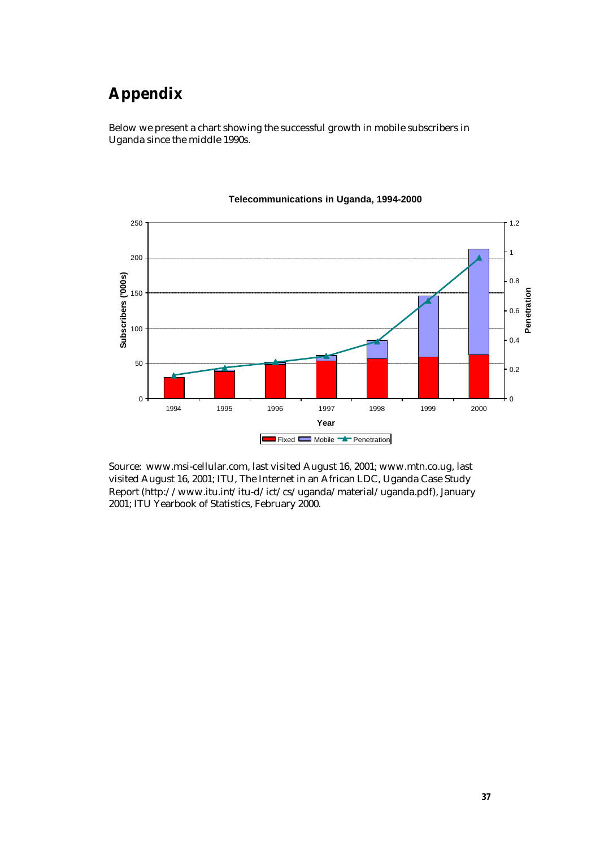# **Appendix**

Below we present a chart showing the successful growth in mobile subscribers in Uganda since the middle 1990s.



#### **Telecommunications in Uganda, 1994-2000**

Source: www.msi-cellular.com, last visited August 16, 2001; www.mtn.co.ug, last visited August 16, 2001; ITU, The Internet in an African LDC, Uganda Case Study Report (http://www.itu.int/itu-d/ict/cs/uganda/material/uganda.pdf), January 2001; ITU Yearbook of Statistics, February 2000.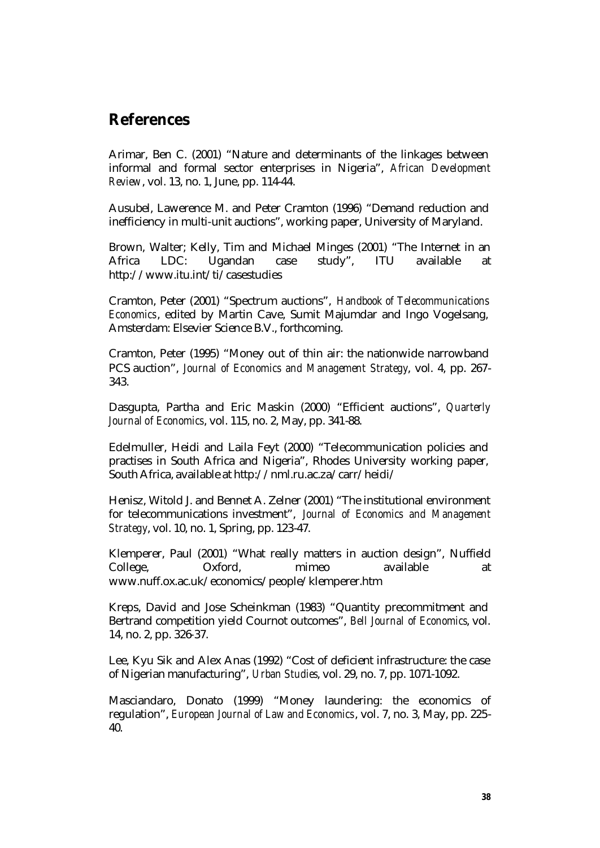## **References**

Arimar, Ben C. (2001) "Nature and determinants of the linkages between informal and formal sector enterprises in Nigeria", *African Development Review*, vol. 13, no. 1, June, pp. 114-44.

Ausubel, Lawerence M. and Peter Cramton (1996) "Demand reduction and inefficiency in multi-unit auctions", working paper, University of Maryland.

Brown, Walter; Kelly, Tim and Michael Minges (2001) "The Internet in an Africa LDC: Ugandan case study", ITU available at http://www.itu.int/ti/casestudies

Cramton, Peter (2001) "Spectrum auctions", *Handbook of Telecommunications Economics*, edited by Martin Cave, Sumit Majumdar and Ingo Vogelsang, Amsterdam: Elsevier Science B.V., forthcoming.

Cramton, Peter (1995) "Money out of thin air: the nationwide narrowband PCS auction", *Journal of Economics and Management Strategy*, vol. 4, pp. 267- 343.

Dasgupta, Partha and Eric Maskin (2000) "Efficient auctions", *Quarterly Journal of Economics*, vol. 115, no. 2, May, pp. 341-88.

Edelmuller, Heidi and Laila Feyt (2000) "Telecommunication policies and practises in South Africa and Nigeria", Rhodes University working paper, South Africa, available at http://nml.ru.ac.za/carr/heidi/

Henisz, Witold J. and Bennet A. Zelner (2001) "The institutional environment for telecommunications investment", *Journal of Economics and Management Strategy*, vol. 10, no. 1, Spring, pp. 123-47.

Klemperer, Paul (2001) "What really matters in auction design", Nuffield College, Oxford, mimeo available at www.nuff.ox.ac.uk/economics/people/klemperer.htm

Kreps, David and Jose Scheinkman (1983) "Quantity precommitment and Bertrand competition yield Cournot outcomes", *Bell Journal of Economics*, vol. 14, no. 2, pp. 326-37.

Lee, Kyu Sik and Alex Anas (1992) "Cost of deficient infrastructure: the case of Nigerian manufacturing", *Urban Studies*, vol. 29, no. 7, pp. 1071-1092.

Masciandaro, Donato (1999) "Money laundering: the economics of regulation", *European Journal of Law and Economics*, vol. 7, no. 3, May, pp. 225- 40.